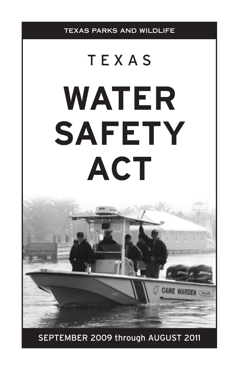

SEPTEMBER 2009 through AUGUST 2011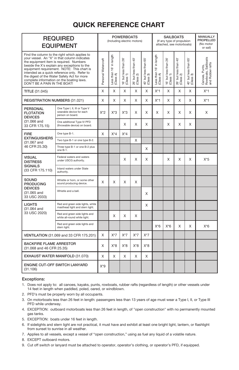# **QUICK REFERENCE CHART**

|                                                                                                                                                                                                                                                                                                                                                                                                                    | <b>POWERBOATS</b><br><b>SAILBOATS</b><br><b>REQUIRED</b><br>(Including electric motors)<br>(If any type of propulsion<br>attached, see motorboats)<br><b>EQUIPMENT</b> |                     |                                         | <b>MANUALLY</b><br>PROPELLED<br>(No motor<br>or sail) |                                               |                                               |                                            |                                              |                                               |                                               |                                                           |
|--------------------------------------------------------------------------------------------------------------------------------------------------------------------------------------------------------------------------------------------------------------------------------------------------------------------------------------------------------------------------------------------------------------------|------------------------------------------------------------------------------------------------------------------------------------------------------------------------|---------------------|-----------------------------------------|-------------------------------------------------------|-----------------------------------------------|-----------------------------------------------|--------------------------------------------|----------------------------------------------|-----------------------------------------------|-----------------------------------------------|-----------------------------------------------------------|
| Find the column to the right which applies to<br>your vessel. An "X" in that column indicates<br>the equipment item is required. Numbers<br>beside the X's explain any exceptions to the<br>equipment requirement. NOTE: This chart is<br>intended as a quick reference only. Refer to<br>the digest of the Water Safety Act for more<br>complete information on the boating laws.<br>DON'T BE A PAIN IN THE BOAT! |                                                                                                                                                                        | Personal Watercraft | in length<br>Less than 16'<br>(Class A) | but less than 26'<br>16' but les<br>(Class 1)         | but less than 40'<br>26' but les<br>(Class 2) | but less than 65'<br>40' but les<br>(Class 3) | in length<br>Less than 16' ii<br>(Class A) | but less than 26"<br>16' but le<br>(Class 1) | but less than 40'<br>26' but les<br>(Class 2) | but less than 65'<br>ಣ<br>40' but<br>(Class 3 | Rowboats, Sailboats<br>and Rubber rafts<br>Canoes, Punts, |
| <b>TITLE (31.045)</b>                                                                                                                                                                                                                                                                                                                                                                                              |                                                                                                                                                                        | X                   | X                                       | X                                                     | X                                             | X                                             | $X^*1$                                     | X                                            | X                                             | X                                             | $X^*1$                                                    |
| REGISTRATION NUMBERS (31.021)                                                                                                                                                                                                                                                                                                                                                                                      |                                                                                                                                                                        | X                   | X                                       | X                                                     | X                                             | X                                             | $X^*1$                                     | X                                            | X                                             | X                                             | $X^*1$                                                    |
| <b>PERSONAL</b><br><b>FLOTATION</b><br><b>DEVICES</b><br>(31,066 and<br>33 CFR 175.15)                                                                                                                                                                                                                                                                                                                             | One Type I, II, III or Type V<br>wearable device for each<br>person on board.                                                                                          | $X^*2$              | $X^*3$                                  | $X^*3$                                                | X                                             | X                                             | X                                          | X                                            | X                                             | X                                             | X                                                         |
|                                                                                                                                                                                                                                                                                                                                                                                                                    | One additional Type IV PFD<br>(throwable device) on board.                                                                                                             |                     |                                         | X                                                     | X                                             | X                                             |                                            | X                                            | X                                             | X                                             |                                                           |
| <b>FIRE</b>                                                                                                                                                                                                                                                                                                                                                                                                        | One type B-1.                                                                                                                                                          | X                   | $X^*4$                                  | $X^*4$                                                |                                               |                                               |                                            |                                              |                                               |                                               |                                                           |
| <b>EXTINGUISHERS</b><br>(31.067 and                                                                                                                                                                                                                                                                                                                                                                                | Two type B-1 or one type B-2.                                                                                                                                          |                     |                                         |                                                       | X                                             |                                               |                                            |                                              |                                               |                                               |                                                           |
| 46 CFR 25.30)                                                                                                                                                                                                                                                                                                                                                                                                      | Three type B-1 or one B-2 plus<br>one B-1.                                                                                                                             |                     |                                         |                                                       |                                               | X                                             |                                            |                                              |                                               |                                               |                                                           |
| <b>VISUAL</b><br><b>DISTRESS</b><br><b>SIGNALS</b><br>(33 CFR 175.110)                                                                                                                                                                                                                                                                                                                                             | Federal waters and waters<br>under USCG authority.                                                                                                                     |                     |                                         | X                                                     | X                                             | X                                             |                                            | X                                            | X                                             | X                                             | $X*5$                                                     |
|                                                                                                                                                                                                                                                                                                                                                                                                                    | Inland waters under State<br>authority.                                                                                                                                |                     |                                         |                                                       |                                               |                                               |                                            |                                              |                                               |                                               |                                                           |
| SOUND<br><b>PRODUCING</b><br><b>DEVICES</b><br>(31.065 and<br>33 USC 2033)                                                                                                                                                                                                                                                                                                                                         | Whistle or horn, or some other<br>sound producing device.                                                                                                              | X                   | X                                       | X                                                     | X                                             |                                               |                                            |                                              |                                               |                                               |                                                           |
|                                                                                                                                                                                                                                                                                                                                                                                                                    | Whistle and a bell.                                                                                                                                                    |                     |                                         |                                                       |                                               | X                                             |                                            |                                              |                                               |                                               |                                                           |
| <b>LIGHTS</b><br>(31.064 and<br>33 USC 2020)                                                                                                                                                                                                                                                                                                                                                                       | Red and green side lights, white<br>masthead light and stern light.                                                                                                    |                     |                                         |                                                       |                                               | X                                             |                                            |                                              |                                               |                                               |                                                           |
|                                                                                                                                                                                                                                                                                                                                                                                                                    | Red and green side lights and<br>white all-round white light.                                                                                                          |                     | X                                       | X                                                     | X                                             |                                               |                                            |                                              |                                               |                                               |                                                           |
|                                                                                                                                                                                                                                                                                                                                                                                                                    | Red and green side lights and<br>stern light.                                                                                                                          |                     |                                         |                                                       |                                               |                                               | $X*6$                                      | $X*6$                                        | X                                             | X                                             | $X*6$                                                     |
| VENTILATION (31.069 and 33 CFR 175.201)                                                                                                                                                                                                                                                                                                                                                                            |                                                                                                                                                                        | X                   | $X^*7$                                  | $X^*7$                                                | $X^*7$                                        | $X^*7$                                        |                                            |                                              |                                               |                                               |                                                           |
| <b>BACKFIRE FLAME ARRESTOR</b><br>(31.068 and 46 CFR 25.35)                                                                                                                                                                                                                                                                                                                                                        |                                                                                                                                                                        | X                   | $X^*8$                                  | $X^*8$                                                | $X^*8$                                        | $X^*8$                                        |                                            |                                              |                                               |                                               |                                                           |
| EXHAUST WATER MANIFOLD (31.070)                                                                                                                                                                                                                                                                                                                                                                                    |                                                                                                                                                                        | X                   | X                                       | X                                                     | X                                             | X                                             |                                            |                                              |                                               |                                               |                                                           |
| <b>ENGINE CUT-OFF SWITCH LANYARD</b><br>(31.106)                                                                                                                                                                                                                                                                                                                                                                   |                                                                                                                                                                        | $X*9$               |                                         |                                                       |                                               |                                               |                                            |                                              |                                               |                                               |                                                           |

#### Exceptions:

- 1. Does not apply to: all canoes, kayaks, punts, rowboats, rubber rafts (regardless of length) or other vessels under 14 feet in length when paddled, poled, oared, or windblown.
- 2. PFD's must be properly worn by all occupants.
- 3. On motorboats less than 26 feet in length: passengers less than 13 years of age must wear a Type I, II, or Type III PFD while underway.
- 4. EXCEPTION: outboard motorboats less than 26 feet in length, of "open construction" with no permanently mounted gas tanks.
- 5. EXCEPTION: boats under 16 feet in length.
- 6. If sidelights and stern light are not practical, it must have and exhibit at least one bright light, lantern, or flashlight from sunset to sunrise in all weather.
- 7. Applies to all vessels, except a vessel of "open construction," using as fuel any liquid of a volatile nature.
- 8. EXCEPT outboard motors.
- 9. Cut off switch or lanyard must be attached to operator, operator's clothing, or operator's PFD, if equipped.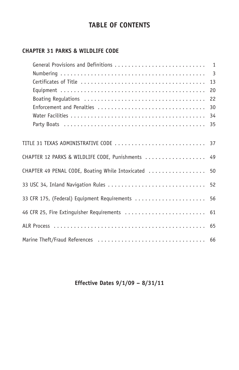# **TABLE OF CONTENTS**

## **CHAPTER 31 PARKS & WILDLIFE CODE**

|                                                      | 20 |
|------------------------------------------------------|----|
|                                                      |    |
|                                                      |    |
|                                                      |    |
|                                                      |    |
|                                                      |    |
| TITLE 31 TEXAS ADMINISTRATIVE CODE  37               |    |
| CHAPTER 12 PARKS & WILDLIFE CODE, Punishments  49    |    |
| CHAPTER 49 PENAL CODE, Boating While Intoxicated  50 |    |
| 33 USC 34, Inland Navigation Rules  52               |    |
| 33 CFR 175, (Federal) Equipment Requirements  56     |    |
| 46 CFR 25, Fire Extinguisher Requirements  61        |    |
|                                                      |    |
|                                                      |    |

## **Effective Dates 9/1/09 – 8/31/11**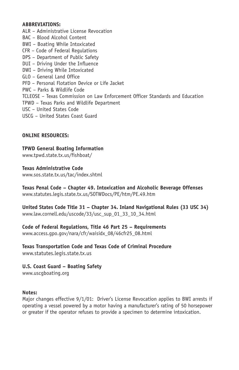#### **ABBREVIATIONS:**

- ALR Administrative License Revocation
- BAC Blood Alcohol Content
- BWI Boating While Intoxicated
- CFR Code of Federal Regulations
- DPS Department of Public Safety
- DUI Driving Under the Influence
- DWI Driving While Intoxicated
- GLO General Land Office
- PFD Personal Flotation Device or Life Jacket
- PWC Parks & Wildlife Code
- TCLEOSE Texas Commission on Law Enforcement Officer Standards and Education
- TPWD Texas Parks and Wildlife Department
- USC United States Code
- USCG United States Coast Guard

#### **ONLINE RESOURCES:**

## **TPWD General Boating Information**

www.tpwd.state.tx.us/fishboat/

#### **Texas Administrative Code**

www.sos.state.tx.us/tac/index.shtml

#### **Texas Penal Code – Chapter 49. Intoxication and Alcoholic Beverage Offenses** www.statutes.legis.state.tx.us/SOTWDocs/PE/htm/PE.49.htm

**United States Code Title 31 – Chapter 34. Inland Navigational Rules (33 USC 34)** www.law.cornell.edu/uscode/33/usc\_sup\_01\_33\_10\_34.html

#### **Code of Federal Regulations, Title 46 Part 25 – Requirements**

www.access.gpo.gov/nara/cfr/waisidx\_08/46cfr25\_08.html

#### **Texas Transportation Code and Texas Code of Criminal Procedure** www.statutes.legis.state.tx.us

**U.S. Coast Guard – Boating Safety** www.uscgboating.org

#### **Notes:**

Major changes effective 9/1/01: Driver's License Revocation applies to BWI arrests if operating a vessel powered by a motor having a manufacturer's rating of 50 horsepower or greater if the operator refuses to provide a specimen to determine intoxication.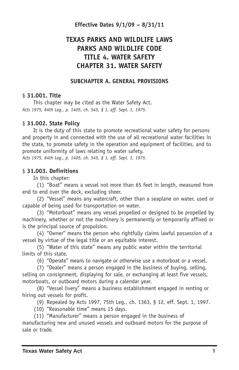#### **Effective Dates 9/1/09 – 8/31/11**

# **TEXAS PARKS AND WILDLIFE LAWS PARKS AND WILDLIFE CODE TITLE 4. WATER SAFETY CHAPTER 31. WATER SAFETY**

#### **SUBCHAPTER A. GENERAL PROVISIONS**

#### § **31.001. Title**

This chapter may be cited as the Water Safety Act. *Acts 1975, 64th Leg., p. 1405, ch. 545, § 1, eff. Sept. 1, 1975.*

#### § **31.002. State Policy**

It is the duty of this state to promote recreational water safety for persons and property in and connected with the use of all recreational water facilities in the state, to promote safety in the operation and equipment of facilities, and to promote uniformity of laws relating to water safety. *Acts 1975, 64th Leg., p. 1405, ch. 545, § 1, eff. Sept. 1, 1975.*

#### § **31.003. Definitions**

In this chapter:

(1) "Boat" means a vessel not more than 65 feet in length, measured from end to end over the deck, excluding sheer.

(2) "Vessel" means any watercraft, other than a seaplane on water, used or capable of being used for transportation on water.

(3) "Motorboat" means any vessel propelled or designed to be propelled by machinery, whether or not the machinery is permanently or temporarily affixed or is the principal source of propulsion.

(4) "Owner" means the person who rightfully claims lawful possession of a vessel by virtue of the legal title or an equitable interest.

(5) "Water of this state" means any public water within the territorial limits of this state.

(6) "Operate" means to navigate or otherwise use a motorboat or a vessel.

(7) "Dealer" means a person engaged in the business of buying, selling, selling on consignment, displaying for sale, or exchanging at least five vessels, motorboats, or outboard motors during a calendar year.

(8) "Vessel livery" means a business establishment engaged in renting or hiring out vessels for profit.

(9) Repealed by Acts 1997, 75th Leg., ch. 1363, § 12, eff. Sept. 1, 1997.

(10) "Reasonable time" means 15 days.

(11) "Manufacturer" means a person engaged in the business of

manufacturing new and unused vessels and outboard motors for the purpose of sale or trade.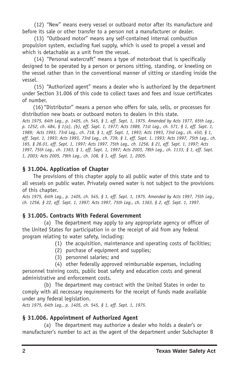(12) "New" means every vessel or outboard motor after its manufacture and before its sale or other transfer to a person not a manufacturer or dealer.

(13) "Outboard motor" means any self-contained internal combustion propulsion system, excluding fuel supply, which is used to propel a vessel and which is detachable as a unit from the vessel.

(14) "Personal watercraft" means a type of motorboat that is specifically designed to be operated by a person or persons sitting, standing, or kneeling on the vessel rather than in the conventional manner of sitting or standing inside the vessel.

(15) "Authorized agent" means a dealer who is authorized by the department under Section 31.006 of this code to collect taxes and fees and issue certificates of number.

(16) "Distributor" means a person who offers for sale, sells, or processes for distribution new boats or outboard motors to dealers in this state.

Acts 1975, 64th Leg., p. 1405, ch. 545, § 1, eff. Sept. 1, 1975. Amended by Acts 1977, 65th Leg., p. 1252, ch. 484, § 1(a), (b), eff. Sept. 1, 1977; Acts 1989, 71st Leg., ch. 571, § 1, eff. Sept. 1, 1989; Acts 1993, 73rd Leg., ch. 718, § 1, eff. Sept. 1, 1993; Acts 1993, 73rd Leg., ch. 450, § 1, eff. Sept. 1, 1993; Acts 1993, 73rd Leg., ch. 739, § 1, eff. Sept. 1, 1993; Acts 1997, 75th Leg., ch. 165, § 26.01, eff. Sept. 1, 1997; Acts 1997, 75th Leq., ch. 1256, § 21, eff. Sept. 1, 1997; Acts 1997, 75th Leg., ch. 1363, § 1, eff. Sept. 1, 1997; Acts 2003, 78th Leg., ch. 1133, § 1, eff. Sept. *1, 2003; Acts 2005, 79th Leg., ch. 108, § 1, eff. Sept. 1, 2005.*

### **§ 31.004. Application of Chapter**

The provisions of this chapter apply to all public water of this state and to all vessels on public water. Privately owned water is not subject to the provisions of this chapter.

Acts 1975, 64th Leq., p. 1405, ch. 545, § 1, eff. Sept. 1, 1975. Amended by Acts 1997, 75th Leq., ch. 1256, § 22, eff. Sept. 1, 1997; Acts 1997, 75th Leq., ch. 1363, § 2, eff. Sept. 1, 1997.

### **§ 31.005. Contracts With Federal Government**

(a) The department may apply to any appropriate agency or officer of the United States for participation in or the receipt of aid from any federal program relating to water safety, including:

(1) the acquisition, maintenance and operating costs of facilities;

- (2) purchase of equipment and supplies;
- (3) personnel salaries; and

(4) other federally approved reimbursable expenses, including personnel training costs, public boat safety and education costs and general administrative and enforcement costs.

(b) The department may contract with the United States in order to comply with all necessary requirements for the receipt of funds made available under any federal legislation.

*Acts 1975, 64th Leg., p. 1405, ch. 545, § 1, eff. Sept. 1, 1975.*

### **§ 31.006. Appointment of Authorized Agent**

(a) The department may authorize a dealer who holds a dealer's or manufacturer's number to act as the agent of the department under Subchapter B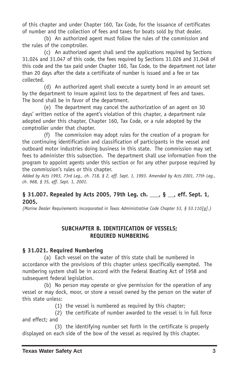of this chapter and under Chapter 160, Tax Code, for the issuance of certificates of number and the collection of fees and taxes for boats sold by that dealer.

(b) An authorized agent must follow the rules of the commission and the rules of the comptroller.

(c) An authorized agent shall send the applications required by Sections 31.024 and 31.047 of this code, the fees required by Sections 31.026 and 31.048 of this code and the tax paid under Chapter 160, Tax Code, to the department not later than 20 days after the date a certificate of number is issued and a fee or tax collected.

(d) An authorized agent shall execute a surety bond in an amount set by the department to insure against loss to the department of fees and taxes. The bond shall be in favor of the department.

(e) The department may cancel the authorization of an agent on 30 days' written notice of the agent's violation of this chapter, a department rule adopted under this chapter, Chapter 160, Tax Code, or a rule adopted by the comptroller under that chapter.

(f) The commission may adopt rules for the creation of a program for the continuing identification and classification of participants in the vessel and outboard motor industries doing business in this state. The commission may set fees to administer this subsection. The department shall use information from the program to appoint agents under this section or for any other purpose required by the commission's rules or this chapter.

Added by Acts 1993, 73rd Leg., ch. 718, § 2, eff. Sept. 1, 1993. Amended by Acts 2001, 77th Leg., *ch. 968, § 35, eff. Sept. 1, 2001.*

### **§ 31.007. Repealed by Acts 2005, 79th Leg. ch. \_\_\_, § \_\_, eff. Sept. 1, 2005.**

*(Marine Dealer Requirements incorporated in Texas Administrative Code Chapter 53, § 53.110[g].)*

### **SUBCHAPTER B. IDENTIFICATION OF VESSELS; REQUIRED NUMBERING**

### **§ 31.021. Required Numbering**

(a) Each vessel on the water of this state shall be numbered in accordance with the provisions of this chapter unless specifically exempted. The numbering system shall be in accord with the Federal Boating Act of 1958 and subsequent federal legislation.

(b) No person may operate or give permission for the operation of any vessel or may dock, moor, or store a vessel owned by the person on the water of this state unless:

(1) the vessel is numbered as required by this chapter;

(2) the certificate of number awarded to the vessel is in full force and effect; and

(3) the identifying number set forth in the certificate is properly displayed on each side of the bow of the vessel as required by this chapter.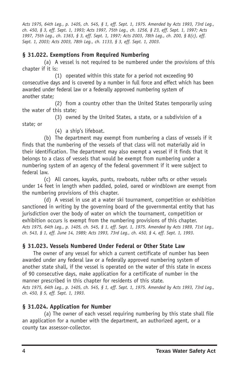Acts 1975, 64th Leq., p. 1405, ch. 545, § 1, eff. Sept. 1, 1975. Amended by Acts 1993, 73rd Leq., ch. 450, § 3, eff. Sept. 1, 1993; Acts 1997, 75th Leq., ch. 1256, § 23, eff. Sept. 1, 1997; Acts 1997, 75th Leg., ch. 1363, § 3, eff. Sept. 1, 1997; Acts 2003, 78th Leg., ch. 200, § 8(c), eff. *Sept. 1, 2003; Acts 2003, 78th Leg., ch. 1133, § 3, eff. Sept. 1, 2003.*

### **§ 31.022. Exemptions From Required Numbering**

(a) A vessel is not required to be numbered under the provisions of this chapter if it is:

(1) operated within this state for a period not exceeding 90 consecutive days and is covered by a number in full force and effect which has been awarded under federal law or a federally approved numbering system of another state;

(2) from a country other than the United States temporarily using the water of this state;

(3) owned by the United States, a state, or a subdivision of a

state; or

(4) a ship's lifeboat.

(b) The department may exempt from numbering a class of vessels if it finds that the numbering of the vessels of that class will not materially aid in their identification. The department may also exempt a vessel if it finds that it belongs to a class of vessels that would be exempt from numbering under a numbering system of an agency of the federal government if it were subject to federal law.

(c) All canoes, kayaks, punts, rowboats, rubber rafts or other vessels under 14 feet in length when paddled, poled, oared or windblown are exempt from the numbering provisions of this chapter.

(d) A vessel in use at a water ski tournament, competition or exhibition sanctioned in writing by the governing board of the governmental entity that has jurisdiction over the body of water on which the tournament, competition or exhibition occurs is exempt from the numbering provisions of this chapter. Acts 1975, 64th Leg., p. 1405, ch. 545, § 1, eff. Sept. 1, 1975. Amended by Acts 1989, 71st Leg., ch. 543, § 1, eff. June 14, 1989; Acts 1993, 73rd Leg., ch. 450, § 4, eff. Sept. 1, 1993.

### **§ 31.023. Vessels Numbered Under Federal or Other State Law**

The owner of any vessel for which a current certificate of number has been awarded under any federal law or a federally approved numbering system of another state shall, if the vessel is operated on the water of this state in excess of 90 consecutive days, make application for a certificate of number in the manner prescribed in this chapter for residents of this state.

Acts 1975, 64th Leq., p. 1405, ch. 545, § 1, eff. Sept. 1, 1975. Amended by Acts 1993, 73rd Leq., *ch. 450, § 5, eff. Sept. 1, 1993.*

## **§ 31.024. Application for Number**

(a) The owner of each vessel requiring numbering by this state shall file an application for a number with the department, an authorized agent, or a county tax assessor-collector.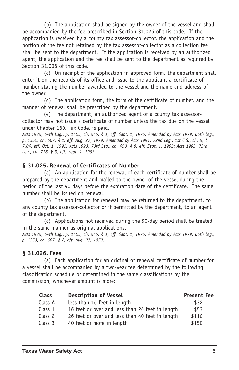(b) The application shall be signed by the owner of the vessel and shall be accompanied by the fee prescribed in Section 31.026 of this code. If the application is received by a county tax assessor-collector, the application and the portion of the fee not retained by the tax assessor-collector as a collection fee shall be sent to the department. If the application is received by an authorized agent, the application and the fee shall be sent to the department as required by Section 31.006 of this code.

(c) On receipt of the application in approved form, the department shall enter it on the records of its office and issue to the applicant a certificate of number stating the number awarded to the vessel and the name and address of the owner.

(d) The application form, the form of the certificate of number, and the manner of renewal shall be prescribed by the department.

(e) The department, an authorized agent or a county tax assessorcollector may not issue a certificate of number unless the tax due on the vessel under Chapter 160, Tax Code, is paid.

Acts 1975, 64th Leg., p. 1405, ch. 545, § 1, eff. Sept. 1, 1975. Amended by Acts 1979, 66th Leg., p. 1352, ch. 607, § 1, eff. Aug. 27, 1979. Amended by Acts 1991, 72nd Leg., 1st C.S., ch. 5, § 7.04, eff. Oct. 1, 1991; Acts 1993, 73rd Leq., ch. 450, § 6, eff. Sept. 1, 1993; Acts 1993, 73rd *Leg., ch. 718, § 3, eff. Sept. 1, 1993.*

#### **§ 31.025. Renewal of Certificates of Number**

(a) An application for the renewal of each certificate of number shall be prepared by the department and mailed to the owner of the vessel during the period of the last 90 days before the expiration date of the certificate. The same number shall be issued on renewal.

(b) The application for renewal may be returned to the department, to any county tax assessor-collector or if permitted by the department, to an agent of the department.

(c) Applications not received during the 90-day period shall be treated in the same manner as original applications.

Acts 1975, 64th Leg., p. 1405, ch. 545, § 1, eff. Sept. 1, 1975. Amended by Acts 1979, 66th Leg., *p. 1353, ch. 607, § 2, eff. Aug. 27, 1979.*

#### **§ 31.026. Fees**

(a) Each application for an original or renewal certificate of number for a vessel shall be accompanied by a two-year fee determined by the following classification schedule or determined in the same classifications by the commission, whichever amount is more:

| <b>Class</b> | <b>Description of Vessel</b>                    | <b>Present Fee</b> |
|--------------|-------------------------------------------------|--------------------|
| Class A      | less than 16 feet in length                     | \$32               |
| Class 1      | 16 feet or over and less than 26 feet in length | \$53               |
| Class 2      | 26 feet or over and less than 40 feet in length | \$110              |
| Class 3      | 40 feet or more in length                       | \$150              |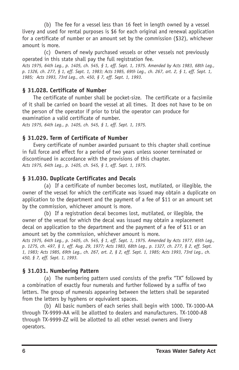(b) The fee for a vessel less than 16 feet in length owned by a vessel livery and used for rental purposes is \$6 for each original and renewal application for a certificate of number or an amount set by the commission (\$32), whichever amount is more.

(c) Owners of newly purchased vessels or other vessels not previously operated in this state shall pay the full registration fee.

Acts 1975, 64th Leg., p. 1405, ch. 545, § 1, eff. Sept. 1, 1975. Amended by Acts 1983, 68th Leg., p. 1326, ch. 277, § 1, eff. Sept. 1, 1983; Acts 1985, 69th Leq., ch. 267, art. 2, § 1, eff. Sept. 1, *1985; Acts 1993, 73rd Leg., ch. 450, § 7, eff. Sept. 1, 1993.*

### **§ 31.028. Certificate of Number**

The certificate of number shall be pocket-size. The certificate or a facsimile of it shall be carried on board the vessel at all times. It does not have to be on the person of the operator if prior to trial the operator can produce for examination a valid certificate of number.

*Acts 1975, 64th Leg., p. 1405, ch. 545, § 1, eff. Sept. 1, 1975.*

#### **§ 31.029. Term of Certificate of Number**

Every certificate of number awarded pursuant to this chapter shall continue in full force and effect for a period of two years unless sooner terminated or discontinued in accordance with the provisions of this chapter. *Acts 1975, 64th Leg., p. 1405, ch. 545, § 1, eff. Sept. 1, 1975.*

### **§ 31.030. Duplicate Certificates and Decals**

(a) If a certificate of number becomes lost, mutilated, or illegible, the owner of the vessel for which the certificate was issued may obtain a duplicate on application to the department and the payment of a fee of \$11 or an amount set by the commission, whichever amount is more.

(b) If a registration decal becomes lost, mutilated, or illegible, the owner of the vessel for which the decal was issued may obtain a replacement decal on application to the department and the payment of a fee of \$11 or an amount set by the commission, whichever amount is more.

Acts 1975, 64th Leg., p. 1405, ch. 545, § 1, eff. Sept. 1, 1975. Amended by Acts 1977, 65th Leg., p. 1275, ch. 497, § 1, eff. Aug. 29, 1977; Acts 1983, 68th Leg., p. 1327, ch. 277, § 2, eff. Sept. 1, 1983; Acts 1985, 69th Leg., ch. 267, art. 2, § 2, eff. Sept. 1, 1985; Acts 1993, 73rd Leg., ch. *450, § 7, eff. Sept. 1, 1993.*

### **§ 31.031. Numbering Pattern**

(a) The numbering pattern used consists of the prefix "TX" followed by a combination of exactly four numerals and further followed by a suffix of two letters. The group of numerals appearing between the letters shall be separated from the letters by hyphens or equivalent spaces.

(b) All basic numbers of each series shall begin with 1000. TX-1000-AA through TX-9999-AA will be allotted to dealers and manufacturers. TX-1000-AB through TX-9999-ZZ will be allotted to all other vessel owners and livery operators.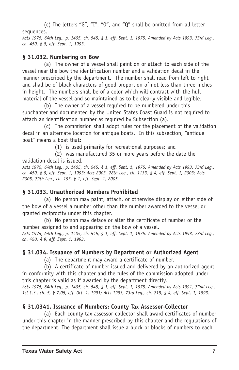(c) The letters "G", "I", "O", and "Q" shall be omitted from all letter sequences.

Acts 1975, 64th Leg., p. 1405, ch. 545, § 1, eff. Sept. 1, 1975. Amended by Acts 1993, 73rd Leg., *ch. 450, § 8, eff. Sept. 1, 1993.*

### **§ 31.032. Numbering on Bow**

(a) The owner of a vessel shall paint on or attach to each side of the vessel near the bow the identification number and a validation decal in the manner prescribed by the department. The number shall read from left to right and shall be of block characters of good proportion of not less than three inches in height. The numbers shall be of a color which will contrast with the hull material of the vessel and so maintained as to be clearly visible and legible.

(b) The owner of a vessel required to be numbered under this subchapter and documented by the United States Coast Guard is not required to attach an identification number as required by Subsection (a).

(c) The commission shall adopt rules for the placement of the validation decal in an alternate location for antique boats. In this subsection, "antique boat" means a boat that:

(1) is used primarily for recreational purposes; and

(2) was manufactured 35 or more years before the date the validation decal is issued.

Acts 1975, 64th Leg., p. 1405, ch. 545, § 1, eff. Sept. 1, 1975. Amended by Acts 1993, 73rd Leg., ch. 450, § 9, eff. Sept. 1, 1993; Acts 2003, 78th Leq., ch. 1133, § 4, eff. Sept. 1, 2003; Acts *2005, 79th Leg., ch. 193, § 1, eff. Sept. 1, 2005.*

## **§ 31.033. Unauthorized Numbers Prohibited**

(a) No person may paint, attach, or otherwise display on either side of the bow of a vessel a number other than the number awarded to the vessel or granted reciprocity under this chapter.

(b) No person may deface or alter the certificate of number or the number assigned to and appearing on the bow of a vessel. Acts 1975, 64th Leg., p. 1405, ch. 545, § 1, eff. Sept. 1, 1975. Amended by Acts 1993, 73rd Leg., *ch. 450, § 9, eff. Sept. 1, 1993.*

## **§ 31.034. Issuance of Numbers by Department or Authorized Agent**

(a) The department may award a certificate of number.

(b) A certificate of number issued and delivered by an authorized agent in conformity with this chapter and the rules of the commission adopted under this chapter is valid as if awarded by the department directly.

Acts 1975, 64th Leq., p. 1405, ch. 545, § 1, eff. Sept. 1, 1975. Amended by Acts 1991, 72nd Leq., 1st C.S., ch. 5, § 7.05, eff. Oct. 1, 1991; Acts 1993, 73rd Leg., ch. 718, § 4, eff. Sept. 1, 1993.

## **§ 31.0341. Issuance of Numbers: County Tax AssessorCollector**

(a) Each county tax assessor-collector shall award certificates of number under this chapter in the manner prescribed by this chapter and the regulations of the department. The department shall issue a block or blocks of numbers to each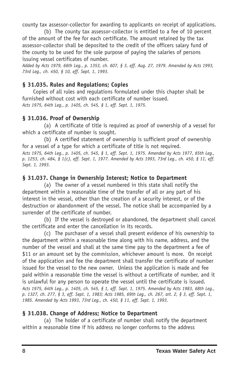county tax assessor-collector for awarding to applicants on receipt of applications.

(b) The county tax assessor-collector is entitled to a fee of 10 percent of the amount of the fee for each certificate. The amount retained by the tax assessor-collector shall be deposited to the credit of the officers salary fund of the county to be used for the sole purpose of paying the salaries of persons issuing vessel certificates of number.

Added by Acts 1979, 66th Leg., p. 1353, ch. 607, § 3, eff. Aug. 27, 1979. Amended by Acts 1993, *73rd Leg., ch. 450, § 10, eff. Sept. 1, 1993.*

### **§ 31.035. Rules and Regulations; Copies**

Copies of all rules and regulations formulated under this chapter shall be furnished without cost with each certificate of number issued. *Acts 1975, 64th Leg., p. 1405, ch. 545, § 1, eff. Sept. 1, 1975.*

### **§ 31.036. Proof of Ownership**

(a) A certificate of title is required as proof of ownership of a vessel for which a certificate of number is sought.

(b) A certified statement of ownership is sufficient proof of ownership for a vessel of a type for which a certificate of title is not required.

Acts 1975, 64th Leg., p. 1405, ch. 545, § 1, eff. Sept. 1, 1975. Amended by Acts 1977, 65th Leg., p. 1253, ch. 484, § 1(c), eff. Sept. 1, 1977. Amended by Acts 1993, 73rd Leq., ch. 450, § 11, eff. *Sept. 1, 1993.*

### **§ 31.037. Change in Ownership Interest; Notice to Department**

(a) The owner of a vessel numbered in this state shall notify the department within a reasonable time of the transfer of all or any part of his interest in the vessel, other than the creation of a security interest, or of the destruction or abandonment of the vessel. The notice shall be accompanied by a surrender of the certificate of number.

(b) If the vessel is destroyed or abandoned, the department shall cancel the certificate and enter the cancellation in its records.

(c) The purchaser of a vessel shall present evidence of his ownership to the department within a reasonable time along with his name, address, and the number of the vessel and shall at the same time pay to the department a fee of \$11 or an amount set by the commission, whichever amount is more. On receipt of the application and fee the department shall transfer the certificate of number issued for the vessel to the new owner. Unless the application is made and fee paid within a reasonable time the vessel is without a certificate of number, and it is unlawful for any person to operate the vessel until the certificate is issued. Acts 1975, 64th Leq., p. 1405, ch. 545, § 1, eff. Sept. 1, 1975. Amended by Acts 1983, 68th Leq., p. 1327, ch. 277, § 3, eff. Sept. 1, 1983; Acts 1985, 69th Leg., ch. 267, art. 2, § 3, eff. Sept. 1, *1985. Amended by Acts 1993, 73rd Leg., ch. 450, § 11, eff. Sept. 1, 1993.*

### **§ 31.038. Change of Address; Notice to Department**

(a) The holder of a certificate of number shall notify the department within a reasonable time if his address no longer conforms to the address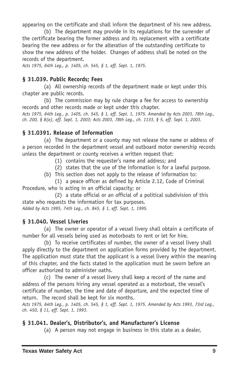appearing on the certificate and shall inform the department of his new address.

(b) The department may provide in its regulations for the surrender of the certificate bearing the former address and its replacement with a certificate bearing the new address or for the alteration of the outstanding certificate to show the new address of the holder. Changes of address shall be noted on the records of the department.

*Acts 1975, 64th Leg., p. 1405, ch. 545, § 1, eff. Sept. 1, 1975.*

#### **§ 31.039. Public Records; Fees**

(a) All ownership records of the department made or kept under this chapter are public records.

(b) The commission may by rule charge a fee for access to ownership records and other records made or kept under this chapter.

Acts 1975, 64th Leg., p. 1405, ch. 545, § 1, eff. Sept. 1, 1975. Amended by Acts 2003, 78th Leg., ch. 200, § 8(e), eff. Sept. 1, 2003; Acts 2003, 78th Leg., ch. 1133, § 5, eff. Sept. 1, 2003.

#### **§ 31.0391. Release of Information**

(a) The department or a county may not release the name or address of a person recorded in the department vessel and outboard motor ownership records unless the department or county receives a written request that:

(1) contains the requester's name and address; and

(2) states that the use of the information is for a lawful purpose.

(b) This section does not apply to the release of information to:

(1) a peace officer as defined by Article 2.12, Code of Criminal Procedure, who is acting in an official capacity; or

(2) a state official or an official of a political subdivision of this state who requests the information for tax purposes.

*Added by Acts 1995, 74th Leg., ch. 845, § 1, eff. Sept. 1, 1995.*

#### **§ 31.040. Vessel Liveries**

(a) The owner or operator of a vessel livery shall obtain a certificate of number for all vessels being used as motorboats to rent or let for hire.

(b) To receive certificates of number, the owner of a vessel livery shall apply directly to the department on application forms provided by the department. The application must state that the applicant is a vessel livery within the meaning of this chapter, and the facts stated in the application must be sworn before an officer authorized to administer oaths.

(c) The owner of a vessel livery shall keep a record of the name and address of the persons hiring any vessel operated as a motorboat, the vessel's certificate of number, the time and date of departure, and the expected time of return. The record shall be kept for six months.

Acts 1975, 64th Leg., p. 1405, ch. 545, § 1, eff. Sept. 1, 1975. Amended by Acts 1993, 73rd Leg., *ch. 450, § 11, eff. Sept. 1, 1993.*

### **§ 31.041. Dealer's, Distributor's, and Manufacturer's License**

(a) A person may not engage in business in this state as a dealer,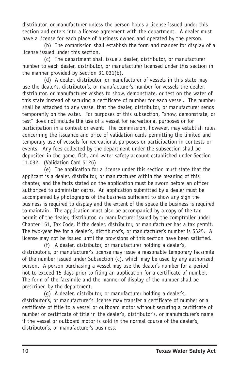distributor, or manufacturer unless the person holds a license issued under this section and enters into a license agreement with the department. A dealer must have a license for each place of business owned and operated by the person.

(b) The commission shall establish the form and manner for display of a license issued under this section.

(c) The department shall issue a dealer, distributor, or manufacturer number to each dealer, distributor, or manufacturer licensed under this section in the manner provided by Section 31.031(b).

(d) A dealer, distributor, or manufacturer of vessels in this state may use the dealer's, distributor's, or manufacturer's number for vessels the dealer, distributor, or manufacturer wishes to show, demonstrate, or test on the water of this state instead of securing a certificate of number for each vessel. The number shall be attached to any vessel that the dealer, distributor, or manufacturer sends temporarily on the water. For purposes of this subsection, "show, demonstrate, or test" does not include the use of a vessel for recreational purposes or for participation in a contest or event. The commission, however, may establish rules concerning the issuance and price of validation cards permitting the limited and temporary use of vessels for recreational purposes or participation in contests or events. Any fees collected by the department under the subsection shall be deposited in the game, fish, and water safety account established under Section 11.032. (Validation Card \$126)

(e) The application for a license under this section must state that the applicant is a dealer, distributor, or manufacturer within the meaning of this chapter, and the facts stated on the application must be sworn before an officer authorized to administer oaths. An application submitted by a dealer must be accompanied by photographs of the business sufficient to show any sign the business is required to display and the extent of the space the business is required to maintain. The application must also be accompanied by a copy of the tax permit of the dealer, distributor, or manufacturer issued by the comptroller under Chapter 151, Tax Code, if the dealer, distributor, or manufacturer has a tax permit. The two-year fee for a dealer's, distributor's, or manufacturer's number is \$525. A license may not be issued until the provisions of this section have been satisfied.

(f) A dealer, distributor, or manufacturer holding a dealer's, distributor's, or manufacturer's license may issue a reasonable temporary facsimile of the number issued under Subsection (c), which may be used by any authorized person. A person purchasing a vessel may use the dealer's number for a period not to exceed 15 days prior to filing an application for a certificate of number. The form of the facsimile and the manner of display of the number shall be prescribed by the department.

(g) A dealer, distributor, or manufacturer holding a dealer's, distributor's, or manufacturer's license may transfer a certificate of number or a certificate of title to a vessel or outboard motor without securing a certificate of number or certificate of title in the dealer's, distributor's, or manufacturer's name if the vessel or outboard motor is sold in the normal course of the dealer's, distributor's, or manufacturer's business.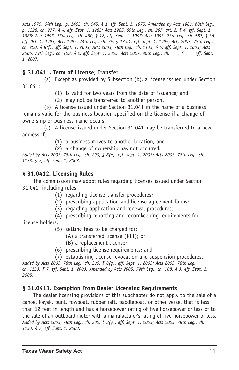Acts 1975, 64th Leq., p. 1405, ch. 545, § 1, eff. Sept. 1, 1975. Amended by Acts 1983, 68th Leq., p. 1328, ch. 277, § 4, eff. Sept. 1, 1983; Acts 1985, 69th Leq., ch. 267, art. 2, § 4, eff. Sept. 1, 1985; Acts 1993, 73rd Leg., ch. 450, § 12, eff. Sept. 1, 1993; Acts 1993, 73rd Leg., ch. 587, § 36, eff. Oct. 1, 1993; Acts 1995, 74th Leq., ch. 76, § 13.01, eff. Sept. 1, 1995; Acts 2003, 78th Leq., ch. 200, § 8(f), eff. Sept. 1, 2003; Acts 2003, 78th Leg., ch. 1133, § 6, eff. Sept. 1, 2003; Acts 2005, 79th Leg., ch. 108, § 2, eff. Sept. 1, 2005. Acts 2007, 80th Leg., ch. \_\_ § \_\_ eff. Sept. *1, 2007.*

#### **§ 31.0411. Term of License; Transfer**

(a) Except as provided by Subsection (b), a license issued under Section 31.041:

- (1) is valid for two years from the date of issuance; and
- (2) may not be transferred to another person.

(b) A license issued under Section 31.041 in the name of a business remains valid for the business location specified on the license if a change of ownership or business name occurs.

(c) A license issued under Section 31.041 may be transferred to a new address if:

(1) a business moves to another location; and

(2) a change of ownership has not occurred.

Added by Acts 2003, 78th Leg., ch. 200, § 8(q), eff. Sept. 1, 2003; Acts 2003, 78th Leg., ch. *1133, § 7, eff. Sept. 1, 2003.*

#### **§ 31.0412. Licensing Rules**

The commission may adopt rules regarding licenses issued under Section 31.041, including rules:

- (1) regarding license transfer procedures;
- (2) prescribing application and license agreement forms;
- (3) regarding application and renewal procedures;
- (4) prescribing reporting and recordkeeping requirements for

license holders;

- (5) setting fees to be charged for:
	- (A) a transferred license (\$11); or
	- (B) a replacement license;
- (6) prescribing license requirements; and
- (7) establishing license revocation and suspension procedures.

*Added by Acts 2003, 78th Leg., ch. 200, § 8(g), eff. Sept. 1, 2003; Acts 2003, 78th Leg.,* ch. 1133, § 7, eff. Sept. 1, 2003. Amended by Acts 2005, 79th Leg., ch. 108, § 3, eff. Sept. 1, *2005.*

#### **§ 31.0413. Exemption From Dealer Licensing Requirements**

The dealer licensing provisions of this subchapter do not apply to the sale of a canoe, kayak, punt, rowboat, rubber raft, paddleboat, or other vessel that is less than 12 feet in length and has a horsepower rating of five horsepower or less or to the sale of an outboard motor with a manufacturer's rating of five horsepower or less. Added by Acts 2003, 78th Leg., ch. 200, § 8(g), eff. Sept. 1, 2003; Acts 2003, 78th Leg., ch. *1133, § 7, eff. Sept. 1, 2003.*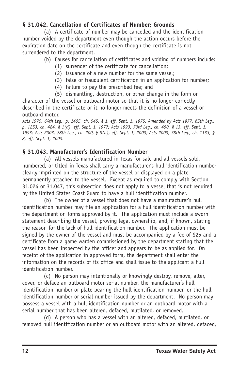## **§ 31.042. Cancellation of Certificates of Number; Grounds**

(a) A certificate of number may be cancelled and the identification number voided by the department even though the action occurs before the expiration date on the certificate and even though the certificate is not surrendered to the department.

#### (b) Causes for cancellation of certificates and voiding of numbers include:

- (1) surrender of the certificate for cancellation;
- (2) issuance of a new number for the same vessel;
- (3) false or fraudulent certification in an application for number;
- (4) failure to pay the prescribed fee; and

(5) dismantling, destruction, or other change in the form or character of the vessel or outboard motor so that it is no longer correctly described in the certificate or it no longer meets the definition of a vessel or outboard motor.

Acts 1975, 64th Leg., p. 1405, ch. 545, § 1, eff. Sept. 1, 1975. Amended by Acts 1977, 65th Leg., p. 1253, ch. 484, § 1(d), eff. Sept. 1, 1977; Acts 1993, 73rd Leg., ch. 450, § 13, eff. Sept. 1, 1993; Acts 2003, 78th Leg., ch. 200, § 8(h), eff. Sept. 1, 2003; Acts 2003, 78th Leg., ch. 1133, § *8, eff. Sept. 1, 2003.*

### **§ 31.043. Manufacturer's Identification Number**

(a) All vessels manufactured in Texas for sale and all vessels sold, numbered, or titled in Texas shall carry a manufacturer's hull identification number clearly imprinted on the structure of the vessel or displayed on a plate permanently attached to the vessel. Except as required to comply with Section 31.024 or 31.047, this subsection does not apply to a vessel that is not required by the United States Coast Guard to have a hull identification number.

(b) The owner of a vessel that does not have a manufacturer's hull identification number may file an application for a hull identification number with the department on forms approved by it. The application must include a sworn statement describing the vessel, proving legal ownership, and, if known, stating the reason for the lack of hull identification number. The application must be signed by the owner of the vessel and must be accompanied by a fee of \$25 and a certificate from a game warden commissioned by the department stating that the vessel has been inspected by the officer and appears to be as applied for. On receipt of the application in approved form, the department shall enter the information on the records of its office and shall issue to the applicant a hull identification number.

(c) No person may intentionally or knowingly destroy, remove, alter, cover, or deface an outboard motor serial number, the manufacturer's hull identification number or plate bearing the hull identification number, or the hull identification number or serial number issued by the department. No person may possess a vessel with a hull identification number or an outboard motor with a serial number that has been altered, defaced, mutilated, or removed.

(d) A person who has a vessel with an altered, defaced, mutilated, or removed hull identification number or an outboard motor with an altered, defaced,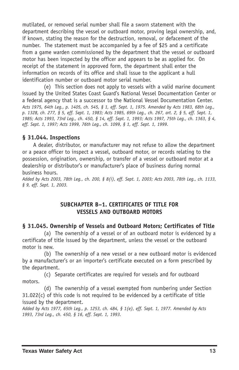mutilated, or removed serial number shall file a sworn statement with the department describing the vessel or outboard motor, proving legal ownership, and, if known, stating the reason for the destruction, removal, or defacement of the number. The statement must be accompanied by a fee of \$25 and a certificate from a game warden commissioned by the department that the vessel or outboard motor has been inspected by the officer and appears to be as applied for. On receipt of the statement in approved form, the department shall enter the information on records of its office and shall issue to the applicant a hull identification number or outboard motor serial number.

(e) This section does not apply to vessels with a valid marine document issued by the United States Coast Guard's National Vessel Documentation Center or a federal agency that is a successor to the National Vessel Documentation Center. Acts 1975, 64th Leg., p. 1405, ch. 545, § 1, eff. Sept. 1, 1975. Amended by Acts 1983, 68th Leg., p. 1328, ch. 277, § 5, eff. Sept. 1, 1983; Acts 1985, 69th Leq., ch. 267, art. 2, § 5, eff. Sept. 1, 1985; Acts 1993, 73rd Leg., ch. 450, § 14, eff. Sept. 1, 1993; Acts 1997, 75th Leg., ch. 1363, § 4, *eff. Sept. 1, 1997; Acts 1999, 76th Leg., ch. 1099, § 1, eff. Sept. 1, 1999.*

### **§ 31.044. Inspections**

A dealer, distributor, or manufacturer may not refuse to allow the department or a peace officer to inspect a vessel, outboard motor, or records relating to the possession, origination, ownership, or transfer of a vessel or outboard motor at a dealership or distributor's or manufacturer's place of business during normal business hours.

Added by Acts 2003, 78th Leg., ch. 200, § 8(i), eff. Sept. 1, 2003; Acts 2003, 78th Leg., ch. 1133, *§ 9, eff. Sept. 1, 2003.*

### **SUBCHAPTER B–1. CERTIFICATES OF TITLE FOR VESSELS AND OUTBOARD MOTORS**

### **§ 31.045. Ownership of Vessels and Outboard Motors; Certificates of Title**

(a) The ownership of a vessel or of an outboard motor is evidenced by a certificate of title issued by the department, unless the vessel or the outboard motor is new.

(b) The ownership of a new vessel or a new outboard motor is evidenced by a manufacturer's or an importer's certificate executed on a form prescribed by the department.

(c) Separate certificates are required for vessels and for outboard motors.

(d) The ownership of a vessel exempted from numbering under Section 31.022(c) of this code is not required to be evidenced by a certificate of title issued by the department.

Added by Acts 1977, 65th Leg., p. 1253, ch. 484, § 1(e), eff. Sept. 1, 1977. Amended by Acts *1993, 73rd Leg., ch. 450, § 16, eff. Sept. 1, 1993.*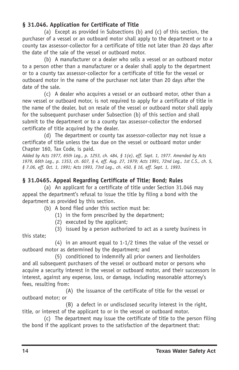## **§ 31.046. Application for Certificate of Title**

(a) Except as provided in Subsections (b) and (c) of this section, the purchaser of a vessel or an outboard motor shall apply to the department or to a county tax assessor-collector for a certificate of title not later than 20 days after the date of the sale of the vessel or outboard motor.

(b) A manufacturer or a dealer who sells a vessel or an outboard motor to a person other than a manufacturer or a dealer shall apply to the department or to a county tax assessor-collector for a certificate of title for the vessel or outboard motor in the name of the purchaser not later than 20 days after the date of the sale.

(c) A dealer who acquires a vessel or an outboard motor, other than a new vessel or outboard motor, is not required to apply for a certificate of title in the name of the dealer, but on resale of the vessel or outboard motor shall apply for the subsequent purchaser under Subsection (b) of this section and shall submit to the department or to a county tax assessor-collector the endorsed certificate of title acquired by the dealer.

(d) The department or county tax assessor-collector may not issue a certificate of title unless the tax due on the vessel or outboard motor under Chapter 160, Tax Code, is paid.

Added by Acts 1977, 65th Leg., p. 1253, ch. 484, § 1(e), eff. Sept. 1, 1977. Amended by Acts 1979, 66th Leg., p. 1353, ch. 607, § 4, eff. Aug. 27, 1979; Acts 1991, 72nd Leg., 1st C.S., ch. 5, *§ 7.06, eff. Oct. 1, 1991; Acts 1993, 73rd Leg., ch. 450, § 16, eff. Sept. 1, 1993.*

## **§ 31.0465. Appeal Regarding Certificate of Title; Bond; Rules**

(a) An applicant for a certificate of title under Section 31.046 may appeal the department's refusal to issue the title by filing a bond with the department as provided by this section.

(b) A bond filed under this section must be:

- (1) in the form prescribed by the department;
- (2) executed by the applicant;
- (3) issued by a person authorized to act as a surety business in this state;

(4) in an amount equal to  $1-1/2$  times the value of the vessel or outboard motor as determined by the department; and

(5) conditioned to indemnify all prior owners and lienholders and all subsequent purchasers of the vessel or outboard motor or persons who acquire a security interest in the vessel or outboard motor, and their successors in interest, against any expense, loss, or damage, including reasonable attorney's fees, resulting from:

(A) the issuance of the certificate of title for the vessel or outboard motor; or

(B) a defect in or undisclosed security interest in the right, title, or interest of the applicant to or in the vessel or outboard motor.

(c) The department may issue the certificate of title to the person filing the bond if the applicant proves to the satisfaction of the department that: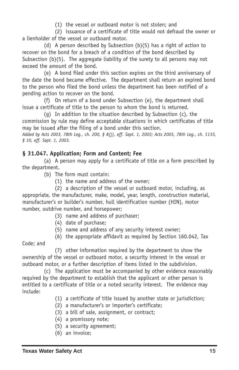(1) the vessel or outboard motor is not stolen; and

(2) issuance of a certificate of title would not defraud the owner or a lienholder of the vessel or outboard motor.

(d) A person described by Subsection  $(b)(5)$  has a right of action to recover on the bond for a breach of a condition of the bond described by Subsection (b)(5). The aggregate liability of the surety to all persons may not exceed the amount of the bond.

(e) A bond filed under this section expires on the third anniversary of the date the bond became effective. The department shall return an expired bond to the person who filed the bond unless the department has been notified of a pending action to recover on the bond.

(f) On return of a bond under Subsection (e), the department shall issue a certificate of title to the person to whom the bond is returned.

(g) In addition to the situation described by Subsection (c), the commission by rule may define acceptable situations in which certificates of title may be issued after the filing of a bond under this section.

Added by Acts 2003, 78th Leg., ch. 200, § 8(i), eff. Sept. 1, 2003; Acts 2003, 78th Leg., ch. 1133, *§ 10, eff. Sept. 1, 2003.*

## **§ 31.047. Application; Form and Content; Fee**

(a) A person may apply for a certificate of title on a form prescribed by the department.

- (b) The form must contain:
	- (1) the name and address of the owner;

(2) a description of the vessel or outboard motor, including, as appropriate, the manufacturer, make, model, year, length, construction material, manufacturer's or builder's number, hull identification number (HIN), motor number, outdrive number, and horsepower;

- (3) name and address of purchaser;
- (4) date of purchase;
- (5) name and address of any security interest owner;
- (6) the appropriate affidavit as required by Section 160.042, Tax

Code; and

(7) other information required by the department to show the ownership of the vessel or outboard motor, a security interest in the vessel or outboard motor, or a further description of items listed in the subdivision.

(c) The application must be accompanied by other evidence reasonably required by the department to establish that the applicant or other person is entitled to a certificate of title or a noted security interest. The evidence may include:

- (1) a certificate of title issued by another state or jurisdiction;
- (2) a manufacturer's or importer's certificate;
- (3) a bill of sale, assignment, or contract;
- (4) a promissory note;
- (5) a security agreement;
- (6) an invoice;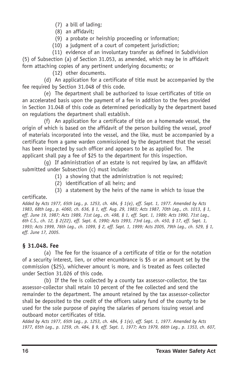- (7) a bill of lading;
- (8) an affidavit;
- (9) a probate or heirship proceeding or information;
- (10) a judgment of a court of competent jurisdiction;
- (11) evidence of an involuntary transfer as defined in Subdivision

(5) of Subsection (a) of Section 31.053, as amended, which may be in affidavit form attaching copies of any pertinent underlying documents; or

(12) other documents.

(d) An application for a certificate of title must be accompanied by the fee required by Section 31.048 of this code.

(e) The department shall be authorized to issue certificates of title on an accelerated basis upon the payment of a fee in addition to the fees provided in Section 31.048 of this code as determined periodically by the department based on regulations the department shall establish.

(f) An application for a certificate of title on a homemade vessel, the origin of which is based on the affidavit of the person building the vessel, proof of materials incorporated into the vessel, and the like, must be accompanied by a certificate from a game warden commissioned by the department that the vessel has been inspected by such officer and appears to be as applied for. The applicant shall pay a fee of \$25 to the department for this inspection.

(g) If administration of an estate is not required by law, an affidavit submitted under Subsection (c) must include:

- (1) a showing that the administration is not required;
- (2) identification of all heirs; and
- (3) a statement by the heirs of the name in which to issue the

#### certificate.

Added by Acts 1977, 65th Leg., p. 1253, ch. 484, § 1(e), eff. Sept. 1, 1977. Amended by Acts 1983, 68th Leq., p. 4060, ch. 636, § 1, eff. Aug. 29, 1983; Acts 1987, 70th Leq., ch. 1013, § 1, eff. June 19, 1987; Acts 1989, 71st Leg., ch. 498, § 1, eff. Sept. 1, 1989; Acts 1990, 71st Leg., 6th C.S., ch. 12, § 2(22), eff. Sept. 6, 1990; Acts 1993, 73rd Leg., ch. 450, § 17, eff. Sept. 1, 1993; Acts 1999, 76th Leg., ch. 1099, § 2, eff. Sept. 1, 1999; Acts 2005, 79th Leg., ch. 529, § 1, *eff. June 17, 2005.*

## **§ 31.048. Fee**

(a) The fee for the issuance of a certificate of title or for the notation of a security interest, lien, or other encumbrance is \$5 or an amount set by the commission (\$25), whichever amount is more, and is treated as fees collected under Section 31.026 of this code.

(b) If the fee is collected by a county tax assessor-collector, the tax assessor-collector shall retain 10 percent of the fee collected and send the remainder to the department. The amount retained by the tax assessor-collector shall be deposited to the credit of the officers salary fund of the county to be used for the sole purpose of paying the salaries of persons issuing vessel and outboard motor certificates of title.

Added by Acts 1977, 65th Leg., p. 1253, ch. 484, § 1(e), eff. Sept. 1, 1977. Amended by Acts 1977, 65th Leq., p. 1259, ch. 484, § 9, eff. Sept. 1, 1977; Acts 1979, 66th Leq., p. 1353, ch. 607,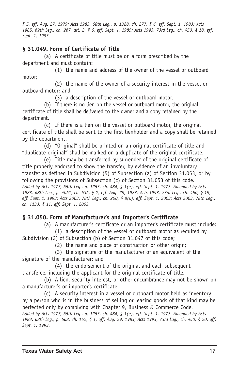§ 5, eff. Aug. 27, 1979; Acts 1983, 68th Leg., p. 1328, ch. 277, § 6, eff. Sept. 1, 1983; Acts 1985, 69th Leg., ch. 267, art. 2, § 6, eff. Sept. 1, 1985; Acts 1993, 73rd Leg., ch. 450, § 18, eff. *Sept. 1, 1993.*

### **§ 31.049. Form of Certificate of Title**

(a) A certificate of title must be on a form prescribed by the department and must contain:

(1) the name and address of the owner of the vessel or outboard motor;

(2) the name of the owner of a security interest in the vessel or outboard motor; and

(3) a description of the vessel or outboard motor.

(b) If there is no lien on the vessel or outboard motor, the original certificate of title shall be delivered to the owner and a copy retained by the department.

(c) If there is a lien on the vessel or outboard motor, the original certificate of title shall be sent to the first lienholder and a copy shall be retained by the department.

(d) "Original" shall be printed on an original certificate of title and "duplicate original" shall be marked on a duplicate of the original certificate.

(e) Title may be transferred by surrender of the original certificate of title properly endorsed to show the transfer, by evidence of an involuntary transfer as defined in Subdivision (5) of Subsection (a) of Section 31.053, or by following the provisions of Subsection (c) of Section 31.053 of this code. Added by Acts 1977, 65th Leg., p. 1253, ch. 484, § 1(e), eff. Sept. 1, 1977. Amended by Acts 1983, 68th Leg., p. 4061, ch. 636, § 2, eff. Aug. 29, 1983; Acts 1993, 73rd Leg., ch. 450, § 19, eff. Sept. 1, 1993; Acts 2003, 78th Leq., ch. 200, § 8(k), eff. Sept. 1, 2003; Acts 2003, 78th Leq., *ch. 1133, § 11, eff. Sept. 1, 2003.*

## **§ 31.050. Form of Manufacturer's and Importer's Certificate**

(a) A manufacturer's certificate or an importer's certificate must include:

(1) a description of the vessel or outboard motor as required by Subdivision (2) of Subsection (b) of Section 31.047 of this code;

(2) the name and place of construction or other origin;

(3) the signature of the manufacturer or an equivalent of the signature of the manufacturer; and

(4) the endorsement of the original and each subsequent transferee, including the applicant for the original certificate of title.

(b) A lien, security interest, or other encumbrance may not be shown on a manufacturer's or importer's certificate.

(c) A security interest in a vessel or outboard motor held as inventory by a person who is in the business of selling or leasing goods of that kind may be perfected only by complying with Chapter 9, Business & Commerce Code. Added by Acts 1977, 65th Leg., p. 1253, ch. 484, § 1(e), eff. Sept. 1, 1977. Amended by Acts 1983, 68th Leg., p. 668, ch. 152, § 1, eff. Aug. 29, 1983; Acts 1993, 73rd Leg., ch. 450, § 20, eff. *Sept. 1, 1993.*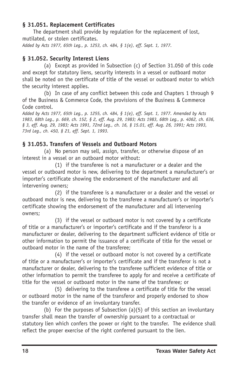### **§ 31.051. Replacement Certificates**

The department shall provide by regulation for the replacement of lost, mutilated, or stolen certificates. *Added by Acts 1977, 65th Leg., p. 1253, ch. 484, § 1(e), eff. Sept. 1, 1977.*

## **§ 31.052. Security Interest Liens**

(a) Except as provided in Subsection (c) of Section 31.050 of this code and except for statutory liens, security interests in a vessel or outboard motor shall be noted on the certificate of title of the vessel or outboard motor to which the security interest applies.

(b) In case of any conflict between this code and Chapters 1 through 9 of the Business & Commerce Code, the provisions of the Business & Commerce Code control.

Added by Acts 1977, 65th Leg., p. 1255, ch. 484, § 1(e), eff. Sept. 1, 1977. Amended by Acts 1983, 68th Leg., p. 669, ch. 152, § 2, eff. Aug. 29, 1983; Acts 1983, 68th Leg., p. 4062, ch. 636, § 3, eff. Aug. 29, 1983; Acts 1991, 72nd Leg., ch. 16, § 15.01, eff. Aug. 26, 1991; Acts 1993, *73rd Leg., ch. 450, § 21, eff. Sept. 1, 1993.*

### **§ 31.053. Transfers of Vessels and Outboard Motors**

(a) No person may sell, assign, transfer, or otherwise dispose of an interest in a vessel or an outboard motor without:

(1) if the transferee is not a manufacturer or a dealer and the vessel or outboard motor is new, delivering to the department a manufacturer's or importer's certificate showing the endorsement of the manufacturer and all intervening owners;

(2) if the transferee is a manufacturer or a dealer and the vessel or outboard motor is new, delivering to the transferee a manufacturer's or importer's certificate showing the endorsement of the manufacturer and all intervening owners;

(3) if the vessel or outboard motor is not covered by a certificate of title or a manufacturer's or importer's certificate and if the transferor is a manufacturer or dealer, delivering to the department sufficient evidence of title or other information to permit the issuance of a certificate of title for the vessel or outboard motor in the name of the transferee;

(4) if the vessel or outboard motor is not covered by a certificate of title or a manufacturer's or importer's certificate and if the transferor is not a manufacturer or dealer, delivering to the transferee sufficient evidence of title or other information to permit the transferee to apply for and receive a certificate of title for the vessel or outboard motor in the name of the transferee; or

(5) delivering to the transferee a certificate of title for the vessel or outboard motor in the name of the transferor and properly endorsed to show the transfer or evidence of an involuntary transfer.

(b) For the purposes of Subsection (a)(5) of this section an involuntary transfer shall mean the transfer of ownership pursuant to a contractual or statutory lien which confers the power or right to the transfer. The evidence shall reflect the proper exercise of the right conferred pursuant to the lien.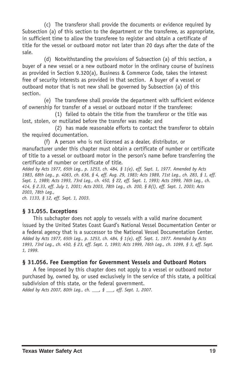(c) The transferor shall provide the documents or evidence required by Subsection (a) of this section to the department or the transferee, as appropriate, in sufficient time to allow the transferee to register and obtain a certificate of title for the vessel or outboard motor not later than 20 days after the date of the sale.

(d) Notwithstanding the provisions of Subsection (a) of this section, a buyer of a new vessel or a new outboard motor in the ordinary course of business as provided in Section 9.320(a), Business & Commerce Code, takes the interest free of security interests as provided in that section. A buyer of a vessel or outboard motor that is not new shall be governed by Subsection (a) of this section.

(e) The transferee shall provide the department with sufficient evidence of ownership for transfer of a vessel or outboard motor if the transferee:

(1) failed to obtain the title from the transferor or the title was lost, stolen, or mutilated before the transfer was made; and

(2) has made reasonable efforts to contact the transferor to obtain the required documentation.

(f) A person who is not licensed as a dealer, distributor, or manufacturer under this chapter must obtain a certificate of number or certificate of title to a vessel or outboard motor in the person's name before transferring the certificate of number or certificate of title.

Added by Acts 1977, 65th Leg., p. 1253, ch. 484, § 1(e), eff. Sept. 1, 1977. Amended by Acts 1983, 68th Leg., p. 4063, ch. 636, § 4, eff. Aug. 29, 1983; Acts 1989, 71st Leg., ch. 283, § 1, eff. Sept. 1, 1989; Acts 1993, 73rd Leg., ch. 450, § 22, eff. Sept. 1, 1993; Acts 1999, 76th Leg., ch. 414, § 2.33, eff. July 1, 2001; Acts 2003, 78th Leg., ch. 200, § 8(l), eff. Sept. 1, 2003; Acts *2003, 78th Leg.,*

*ch. 1133, § 12, eff. Sept. 1, 2003.*

#### **§ 31.055. Exceptions**

This subchapter does not apply to vessels with a valid marine document issued by the United States Coast Guard's National Vessel Documentation Center or a federal agency that is a successor to the National Vessel Documentation Center. Added by Acts 1977, 65th Leg., p. 1253, ch. 484, § 1(e), eff. Sept. 1, 1977. Amended by Acts 1993, 73rd Leg., ch. 450, § 23, eff. Sept. 1, 1993; Acts 1999, 76th Leg., ch. 1099, § 3, eff. Sept. *1, 1999.*

#### **§ 31.056. Fee Exemption for Government Vessels and Outboard Motors**

A fee imposed by this chapter does not apply to a vessel or outboard motor purchased by, owned by, or used exclusively in the service of this state, a political subdivision of this state, or the federal government.

*Added by Acts 2007, 80th Leg., ch. \_\_\_, § \_\_\_, eff. Sept. 1, 2007.*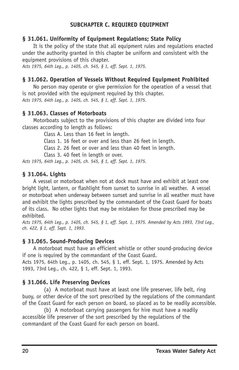### **SUBCHAPTER C. REQUIRED EQUIPMENT**

#### **§ 31.061. Uniformity of Equipment Regulations; State Policy**

It is the policy of the state that all equipment rules and regulations enacted under the authority granted in this chapter be uniform and consistent with the equipment provisions of this chapter.

*Acts 1975, 64th Leg., p. 1405, ch. 545, § 1, eff. Sept. 1, 1975.*

### **§ 31.062. Operation of Vessels Without Required Equipment Prohibited**

No person may operate or give permission for the operation of a vessel that is not provided with the equipment required by this chapter. *Acts 1975, 64th Leg., p. 1405, ch. 545, § 1, eff. Sept. 1, 1975.*

### **§ 31.063. Classes of Motorboats**

Motorboats subject to the provisions of this chapter are divided into four classes according to length as follows:

Class A. Less than 16 feet in length.

Class 1. 16 feet or over and less than 26 feet in length.

Class 2. 26 feet or over and less than 40 feet in length.

Class 3. 40 feet in length or over.

*Acts 1975, 64th Leg., p. 1405, ch. 545, § 1, eff. Sept. 1, 1975.*

#### **§ 31.064. Lights**

A vessel or motorboat when not at dock must have and exhibit at least one bright light, lantern, or flashlight from sunset to sunrise in all weather. A vessel or motorboat when underway between sunset and sunrise in all weather must have and exhibit the lights prescribed by the commandant of the Coast Guard for boats of its class. No other lights that may be mistaken for those prescribed may be exhibited.

Acts 1975, 64th Leq., p. 1405, ch. 545, § 1, eff. Sept. 1, 1975. Amended by Acts 1993, 73rd Leq., *ch. 422, § 1, eff. Sept. 1, 1993.*

### **§ 31.065. SoundProducing Devices**

A motorboat must have an efficient whistle or other sound-producing device if one is required by the commandant of the Coast Guard.

Acts 1975, 64th Leg., p. 1405, ch. 545, § 1, eff. Sept. 1, 1975. Amended by Acts 1993, 73rd Leg., ch. 422, § 1, eff. Sept. 1, 1993.

### **§ 31.066. Life Preserving Devices**

(a) A motorboat must have at least one life preserver, life belt, ring buoy, or other device of the sort prescribed by the regulations of the commandant of the Coast Guard for each person on board, so placed as to be readily accessible.

(b) A motorboat carrying passengers for hire must have a readily accessible life preserver of the sort prescribed by the regulations of the commandant of the Coast Guard for each person on board.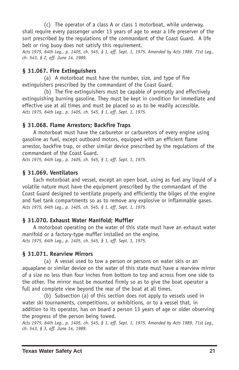(c) The operator of a class A or class 1 motorboat, while underway, shall require every passenger under 13 years of age to wear a life preserver of the sort prescribed by the regulations of the commandant of the Coast Guard. A life belt or ring buoy does not satisfy this requirement.

Acts 1975, 64th Leg., p. 1405, ch. 545, § 1, eff. Sept. 1, 1975. Amended by Acts 1989, 71st Leg., *ch. 543, § 2, eff. June 14, 1989.*

### **§ 31.067. Fire Extinguishers**

(a) A motorboat must have the number, size, and type of fire extinguishers prescribed by the commandant of the Coast Guard.

(b) The fire extinguishers must be capable of promptly and effectively extinguishing burning gasoline. They must be kept in condition for immediate and effective use at all times and must be placed so as to be readily accessible. *Acts 1975, 64th Leg., p. 1405, ch. 545, § 1, eff. Sept. 1, 1975.*

### **§ 31.068. Flame Arrestors; Backfire Traps**

A motorboat must have the carburetor or carburetors of every engine using gasoline as fuel, except outboard motors, equipped with an efficient flame arrestor, backfire trap, or other similar device prescribed by the regulations of the commandant of the Coast Guard.

*Acts 1975, 64th Leg., p. 1405, ch. 545, § 1, eff. Sept. 1, 1975.*

### **§ 31.069. Ventilators**

Each motorboat and vessel, except an open boat, using as fuel any liquid of a volatile nature must have the equipment prescribed by the commandant of the Coast Guard designed to ventilate properly and efficiently the bilges of the engine and fuel tank compartments so as to remove any explosive or inflammable gases. *Acts 1975, 64th Leg., p. 1405, ch. 545, § 1, eff. Sept. 1, 1975.*

### **§ 31.070. Exhaust Water Manifold; Muffler**

A motorboat operating on the water of this state must have an exhaust water manifold or a factory-type muffler installed on the engine. *Acts 1975, 64th Leg., p. 1405, ch. 545, § 1, eff. Sept. 1, 1975.*

### **§ 31.071. Rearview Mirrors**

(a) A vessel used to tow a person or persons on water skis or an aquaplane or similar device on the water of this state must have a rearview mirror of a size no less than four inches from bottom to top and across from one side to the other. The mirror must be mounted firmly so as to give the boat operator a full and complete view beyond the rear of the boat at all times.

(b) Subsection (a) of this section does not apply to vessels used in water ski tournaments, competitions, or exhibitions, or to a vessel that, in addition to its operator, has on board a person 13 years of age or older observing the progress of the person being towed.

Acts 1975, 64th Leg., p. 1405, ch. 545, § 1, eff. Sept. 1, 1975. Amended by Acts 1989, 71st Leg., *ch. 543, § 3, eff. June 14, 1989.*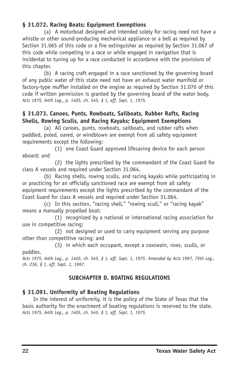### **§ 31.072. Racing Boats; Equipment Exemptions**

(a) A motorboat designed and intended solely for racing need not have a whistle or other sound-producing mechanical appliance or a bell as required by Section 31.065 of this code or a fire extinguisher as required by Section 31.067 of this code while competing in a race or while engaged in navigation that is incidental to tuning up for a race conducted in accordance with the provisions of this chapter.

(b) A racing craft engaged in a race sanctioned by the governing board of any public water of this state need not have an exhaust water manifold or factory-type muffler installed on the engine as required by Section 31.070 of this code if written permission is granted by the governing board of the water body. *Acts 1975, 64th Leg., p. 1405, ch. 545, § 1, eff. Sept. 1, 1975.*

### **§ 31.073. Canoes, Punts, Rowboats, Sailboats, Rubber Rafts, Racing Shells, Rowing Sculls, and Racing Kayaks; Equipment Exemptions**

(a) All canoes, punts, rowboats, sailboats, and rubber rafts when paddled, poled, oared, or windblown are exempt from all safety equipment requirements except the following:

(1) one Coast Guard approved lifesaving device for each person aboard; and

(2) the lights prescribed by the commandant of the Coast Guard for class A vessels and required under Section 31.064.

(b) Racing shells, rowing sculls, and racing kayaks while participating in or practicing for an officially sanctioned race are exempt from all safety equipment requirements except the lights prescribed by the commandant of the Coast Guard for class A vessels and required under Section 31.064.

(c) In this section, "racing shell," "rowing scull," or "racing kayak" means a manually propelled boat:

(1) recognized by a national or international racing association for use in competitive racing;

(2) not designed or used to carry equipment serving any purpose other than competitive racing; and

(3) in which each occupant, except a coxswain, rows, sculls, or paddles.

Acts 1975, 64th Leg., p. 1405, ch. 545, § 1, eff. Sept. 1, 1975. Amended by Acts 1997, 75th Leg., *ch. 236, § 1, eff. Sept. 1, 1997.*

## **SUBCHAPTER D. BOATING REGULATIONS**

### **§ 31.091. Uniformity of Boating Regulations**

In the interest of uniformity, it is the policy of the State of Texas that the basic authority for the enactment of boating regulations is reserved to the state. *Acts 1975, 64th Leg., p. 1405, ch. 545, § 1, eff. Sept. 1, 1975.*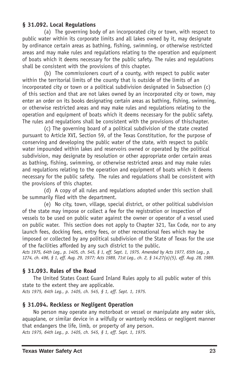#### **§ 31.092. Local Regulations**

(a) The governing body of an incorporated city or town, with respect to public water within its corporate limits and all lakes owned by it, may designate by ordinance certain areas as bathing, fishing, swimming, or otherwise restricted areas and may make rules and regulations relating to the operation and equipment of boats which it deems necessary for the public safety. The rules and regulations shall be consistent with the provisions of this chapter.

(b) The commissioners court of a county, with respect to public water within the territorial limits of the county that is outside of the limits of an incorporated city or town or a political subdivision designated in Subsection (c) of this section and that are not lakes owned by an incorporated city or town, may enter an order on its books designating certain areas as bathing, fishing, swimming, or otherwise restricted areas and may make rules and regulations relating to the operation and equipment of boats which it deems necessary for the public safety. The rules and regulations shall be consistent with the provisions of thischapter.

(c) The governing board of a political subdivision of the state created pursuant to Article XVI, Section 59, of the Texas Constitution, for the purpose of conserving and developing the public water of the state, with respect to public water impounded within lakes and reservoirs owned or operated by the political subdivision, may designate by resolution or other appropriate order certain areas as bathing, fishing, swimming, or otherwise restricted areas and may make rules and regulations relating to the operation and equipment of boats which it deems necessary for the public safety. The rules and regulations shall be consistent with the provisions of this chapter.

(d) A copy of all rules and regulations adopted under this section shall be summarily filed with the department.

(e) No city, town, village, special district, or other political subdivision of the state may impose or collect a fee for the registration or inspection of vessels to be used on public water against the owner or operator of a vessel used on public water. This section does not apply to Chapter 321, Tax Code, nor to any launch fees, docking fees, entry fees, or other recreational fees which may be imposed or collected by any political subdivision of the State of Texas for the use of the facilities afforded by any such district to the public.

Acts 1975, 64th Leg., p. 1405, ch. 545, § 1, eff. Sept. 1, 1975. Amended by Acts 1977, 65th Leg., p. 1274, ch. 496, § 1, eff. Aug. 29, 1977; Acts 1989, 71st Leg., ch. 2, § 14.27(a)(5), eff. Aug. 28, 1989.

#### **§ 31.093. Rules of the Road**

The United States Coast Guard Inland Rules apply to all public water of this state to the extent they are applicable.

*Acts 1975, 64th Leg., p. 1405, ch. 545, § 1, eff. Sept. 1, 1975.*

#### **§ 31.094. Reckless or Negligent Operation**

No person may operate any motorboat or vessel or manipulate any water skis, aquaplane, or similar device in a wilfully or wantonly reckless or negligent manner that endangers the life, limb, or property of any person. *Acts 1975, 64th Leg., p. 1405, ch. 545, § 1, eff. Sept. 1, 1975.*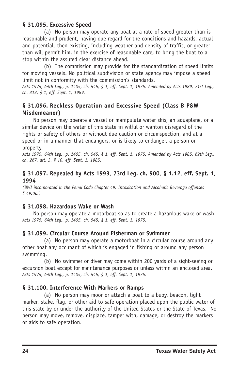### **§ 31.095. Excessive Speed**

(a) No person may operate any boat at a rate of speed greater than is reasonable and prudent, having due regard for the conditions and hazards, actual and potential, then existing, including weather and density of traffic, or greater than will permit him, in the exercise of reasonable care, to bring the boat to a stop within the assured clear distance ahead.

(b) The commission may provide for the standardization of speed limits for moving vessels. No political subdivision or state agency may impose a speed limit not in conformity with the commission's standards.

Acts 1975, 64th Leg., p. 1405, ch. 545, § 1, eff. Sept. 1, 1975. Amended by Acts 1989, 71st Leg., *ch. 313, § 1, eff. Sept. 1, 1989.*

### **§ 31.096. Reckless Operation and Excessive Speed (Class B P&W Misdemeanor)**

No person may operate a vessel or manipulate water skis, an aquaplane, or a similar device on the water of this state in wilful or wanton disregard of the rights or safety of others or without due caution or circumspection, and at a speed or in a manner that endangers, or is likely to endanger, a person or property.

Acts 1975, 64th Leg., p. 1405, ch. 545, § 1, eff. Sept. 1, 1975. Amended by Acts 1985, 69th Leg., *ch. 267, art. 3, § 10, eff. Sept. 1, 1985.*

#### **§ 31.097. Repealed by Acts 1993, 73rd Leg. ch. 900, § 1.12, eff. Sept. 1, 1994**

*(BWI incorporated in the Penal Code Chapter 49. Intoxication and Alcoholic Beverage offenses § 49.06.)*

#### **§ 31.098. Hazardous Wake or Wash**

No person may operate a motorboat so as to create a hazardous wake or wash. *Acts 1975, 64th Leg., p. 1405, ch. 545, § 1, eff. Sept. 1, 1975.*

### **§ 31.099. Circular Course Around Fisherman or Swimmer**

(a) No person may operate a motorboat in a circular course around any other boat any occupant of which is engaged in fishing or around any person swimming.

(b) No swimmer or diver may come within 200 yards of a sight-seeing or excursion boat except for maintenance purposes or unless within an enclosed area. *Acts 1975, 64th Leg., p. 1405, ch. 545, § 1, eff. Sept. 1, 1975.*

### **§ 31.100. Interference With Markers or Ramps**

(a) No person may moor or attach a boat to a buoy, beacon, light marker, stake, flag, or other aid to safe operation placed upon the public water of this state by or under the authority of the United States or the State of Texas. No person may move, remove, displace, tamper with, damage, or destroy the markers or aids to safe operation.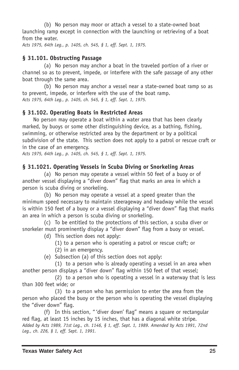(b) No person may moor or attach a vessel to a state-owned boat launching ramp except in connection with the launching or retrieving of a boat from the water.

*Acts 1975, 64th Leg., p. 1405, ch. 545, § 1, eff. Sept. 1, 1975.*

### **§ 31.101. Obstructing Passage**

(a) No person may anchor a boat in the traveled portion of a river or channel so as to prevent, impede, or interfere with the safe passage of any other boat through the same area.

(b) No person may anchor a vessel near a state-owned boat ramp so as to prevent, impede, or interfere with the use of the boat ramp. *Acts 1975, 64th Leg., p. 1405, ch. 545, § 1, eff. Sept. 1, 1975.*

### **§ 31.102. Operating Boats in Restricted Areas**

No person may operate a boat within a water area that has been clearly marked, by buoys or some other distinguishing device, as a bathing, fishing, swimming, or otherwise restricted area by the department or by a political subdivision of the state. This section does not apply to a patrol or rescue craft or in the case of an emergency.

*Acts 1975, 64th Leg., p. 1405, ch. 545, § 1, eff. Sept. 1, 1975.*

### **§ 31.1021. Operating Vessels in Scuba Diving or Snorkeling Areas**

(a) No person may operate a vessel within 50 feet of a buoy or of another vessel displaying a "diver down" flag that marks an area in which a person is scuba diving or snorkeling.

(b) No person may operate a vessel at a speed greater than the minimum speed necessary to maintain steerageway and headway while the vessel is within 150 feet of a buoy or a vessel displaying a "diver down" flag that marks an area in which a person is scuba diving or snorkeling.

(c) To be entitled to the protections of this section, a scuba diver or snorkeler must prominently display a "diver down" flag from a buoy or vessel.

(d) This section does not apply:

- (1) to a person who is operating a patrol or rescue craft; or (2) in an emergency.
- (e) Subsection (a) of this section does not apply:

(1) to a person who is already operating a vessel in an area when another person displays a "diver down" flag within 150 feet of that vessel;

(2) to a person who is operating a vessel in a waterway that is less than 300 feet wide; or

(3) to a person who has permission to enter the area from the person who placed the buoy or the person who is operating the vessel displaying the "diver down" flag.

(f) In this section, " 'diver down' flag" means a square or rectangular red flag, at least 15 inches by 15 inches, that has a diagonal white stripe. Added by Acts 1989, 71st Leq., ch. 1146, § 1, eff. Sept. 1, 1989. Amended by Acts 1991, 72nd *Leg., ch. 226, § 1, eff. Sept. 1, 1991.*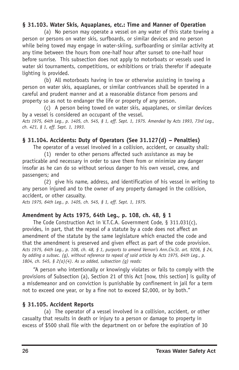#### **§ 31.103. Water Skis, Aquaplanes, etc.: Time and Manner of Operation**

(a) No person may operate a vessel on any water of this state towing a person or persons on water skis, surfboards, or similar devices and no person while being towed may engage in water-skiing, surfboarding or similar activity at any time between the hours from one-half hour after sunset to one-half hour before sunrise. This subsection does not apply to motorboats or vessels used in water ski tournaments, competitions, or exhibitions or trials therefor if adequate lighting is provided.

(b) All motorboats having in tow or otherwise assisting in towing a person on water skis, aquaplanes, or similar contrivances shall be operated in a careful and prudent manner and at a reasonable distance from persons and property so as not to endanger the life or property of any person.

(c) A person being towed on water skis, aquaplanes, or similar devices by a vessel is considered an occupant of the vessel. Acts 1975, 64th Leg., p. 1405, ch. 545, § 1, eff. Sept. 1, 1975. Amended by Acts 1993, 73rd Leg.,

*ch. 421, § 1, eff. Sept. 1, 1993.*

### **§ 31.104. Accidents: Duty of Operators (See 31.127(d) – Penalties)**

The operator of a vessel involved in a collision, accident, or casualty shall:

(1) render to other persons affected such assistance as may be practicable and necessary in order to save them from or minimize any danger insofar as he can do so without serious danger to his own vessel, crew, and passengers; and

(2) give his name, address, and identification of his vessel in writing to any person injured and to the owner of any property damaged in the collision, accident, or other casualty.

*Acts 1975, 64th Leg., p. 1405, ch. 545, § 1, eff. Sept. 1, 1975.*

### **Amendment by Acts 1975, 64th Leg., p. 108, ch. 48, § 1**

The Code Construction Act in V.T.C.A. Government Code, § 311.031(c), provides, in part, that the repeal of a statute by a code does not affect an amendment of the statute by the same legislature which enacted the code and that the amendment is preserved and given effect as part of the code provision. Acts 1975, 64th Leg., p. 108, ch. 48, § 1, purports to amend Vernon's Ann. Civ. St. art. 9206, § 24, *by adding a subsec. (g), without reference to repeal of said article by Acts 1975, 64th Leg., p. 1804, ch. 545, § 2(a)(4). As so added, subsection (g) reads:*

"A person who intentionally or knowingly violates or fails to comply with the provisions of Subsection (a), Section 21 of this Act [now, this section] is guilty of a misdemeanor and on conviction is punishable by confinement in jail for a term not to exceed one year, or by a fine not to exceed \$2,000, or by both."

### **§ 31.105. Accident Reports**

(a) The operator of a vessel involved in a collision, accident, or other casualty that results in death or injury to a person or damage to property in excess of \$500 shall file with the department on or before the expiration of 30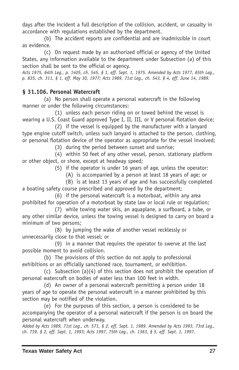days after the incident a full description of the collision, accident, or casualty in accordance with regulations established by the department.

(b) The accident reports are confidential and are inadmissible in court as evidence.

(c) On request made by an authorized official or agency of the United States, any information available to the department under Subsection (a) of this section shall be sent to the official or agency.

Acts 1975, 64th Leg., p. 1405, ch. 545, § 1, eff. Sept. 1, 1975. Amended by Acts 1977, 65th Leg., p. 835, ch. 311, § 1, eff. May 30, 1977; Acts 1989, 71st Leg., ch. 543, § 4, eff. June 14, 1989.

## **§ 31.106. Personal Watercraft**

(a) No person shall operate a personal watercraft in the following manner or under the following circumstances:

(1) unless each person riding on or towed behind the vessel is wearing a U.S. Coast Guard approved Type I, II, III, or V personal flotation device;

(2) if the vessel is equipped by the manufacturer with a lanyard type engine cutoff switch, unless such lanyard is attached to the person, clothing, or personal flotation device of the operator as appropriate for the vessel involved;

(3) during the period between sunset and sunrise;

(4) within 50 feet of any other vessel, person, stationary platform or other object, or shore, except at headway speed;

(5) if the operator is under 16 years of age, unless the operator:

(A) is accompanied by a person at least 18 years of age; or

(B) is at least 13 years of age and has successfully completed a boating safety course prescribed and approved by the department;

(6) if the personal watercraft is a motorboat, within any area prohibited for operation of a motorboat by state law or local rule or regulation;

(7) while towing water skis, an aquaplane, a surfboard, a tube, or any other similar device, unless the towing vessel is designed to carry on board a minimum of two persons;

(8) by jumping the wake of another vessel recklessly or unnecessarily close to that vessel; or

(9) in a manner that requires the operator to swerve at the last possible moment to avoid collision.

(b) The provisions of this section do not apply to professional exhibitions or an officially sanctioned race, tournament, or exhibition.

(c) Subsection (a)(4) of this section does not prohibit the operation of personal watercraft on bodies of water less than 100 feet in width.

(d) An owner of a personal watercraft permitting a person under 18 years of age to operate the personal watercraft in a manner prohibited by this section may be notified of the violation.

(e) For the purposes of this section, a person is considered to be accompanying the operator of a personal watercraft if the person is on board the personal watercraft when underway.

Added by Acts 1989, 71st Leg., ch. 571, § 2, eff. Sept. 1, 1989. Amended by Acts 1993, 73rd Leg., ch. 739, § 2, eff. Sept. 1, 1993; Acts 1997, 75th Leg., ch. 1363, § 5, eff. Sept. 1, 1997.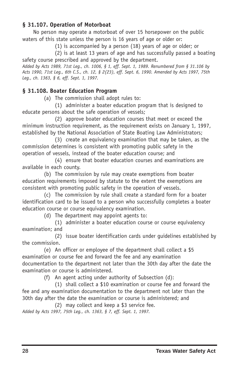### **§ 31.107. Operation of Motorboat**

No person may operate a motorboat of over 15 horsepower on the public waters of this state unless the person is 16 years of age or older or:

(1) is accompanied by a person (18) years of age or older; or

(2) is at least 13 years of age and has successfully passed a boating safety course prescribed and approved by the department.

Added by Acts 1989, 71st Leg., ch. 1006, § 1, eff. Sept. 1, 1989. Renumbered from § 31.106 by Acts 1990, 71st Leg., 6th C.S., ch. 12, § 2(23), eff. Sept. 6, 1990. Amended by Acts 1997, 75th *Leg., ch. 1363, § 6, eff. Sept. 1, 1997.*

### **§ 31.108. Boater Education Program**

(a) The commission shall adopt rules to:

(1) administer a boater education program that is designed to educate persons about the safe operation of vessels;

(2) approve boater education courses that meet or exceed the minimum instruction requirement, as the requirement exists on January 1, 1997, established by the National Association of State Boating Law Administrators;

(3) create an equivalency examination that may be taken, as the commission determines is consistent with promoting public safety in the operation of vessels, instead of the boater education course; and

(4) ensure that boater education courses and examinations are available in each county.

(b) The commission by rule may create exemptions from boater education requirements imposed by statute to the extent the exemptions are consistent with promoting public safety in the operation of vessels.

(c) The commission by rule shall create a standard form for a boater identification card to be issued to a person who successfully completes a boater education course or course equivalency examination.

(d) The department may appoint agents to:

(1) administer a boater education course or course equivalency examination; and

(2) issue boater identification cards under guidelines established by the commission.

(e) An officer or employee of the department shall collect a \$5 examination or course fee and forward the fee and any examination documentation to the department not later than the 30th day after the date the examination or course is administered.

(f) An agent acting under authority of Subsection (d):

(1) shall collect a \$10 examination or course fee and forward the fee and any examination documentation to the department not later than the 30th day after the date the examination or course is administered; and

(2) may collect and keep a \$3 service fee. *Added by Acts 1997, 75th Leg., ch. 1363, § 7, eff. Sept. 1, 1997.*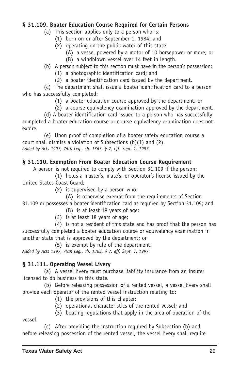### **§ 31.109. Boater Education Course Required for Certain Persons**

- (a) This section applies only to a person who is:
	- (1) born on or after September 1, 1984; and
	- (2) operating on the public water of this state:
		- (A) a vessel powered by a motor of 10 horsepower or more; or
		- (B) a windblown vessel over 14 feet in length.

### (b) A person subject to this section must have in the person's possession:

- (1) a photographic identification card; and
- (2) a boater identification card issued by the department.

(c) The department shall issue a boater identification card to a person who has successfully completed:

- (1) a boater education course approved by the department; or
- (2) a course equivalency examination approved by the department.

(d) A boater identification card issued to a person who has successfully completed a boater education course or course equivalency examination does not expire.

(e) Upon proof of completion of a boater safety education course a court shall dismiss a violation of Subsections (b)(1) and (2). *Added by Acts 1997, 75th Leg., ch. 1363, § 7, eff. Sept. 1, 1997.*

## **§ 31.110. Exemption From Boater Education Course Requirement**

A person is not required to comply with Section 31.109 if the person:

(1) holds a master's, mate's, or operator's license issued by the United States Coast Guard;

(2) is supervised by a person who:

(A) is otherwise exempt from the requirements of Section 31.109 or possesses a boater identification card as required by Section 31.109; and

- (B) is at least 18 years of age;
- (3) is at least 18 years of age;

(4) is not a resident of this state and has proof that the person has successfully completed a boater education course or equivalency examination in another state that is approved by the department; or

(5) is exempt by rule of the department. *Added by Acts 1997, 75th Leg., ch. 1363, § 7, eff. Sept. 1, 1997.*

## **§ 31.111. Operating Vessel Livery**

(a) A vessel livery must purchase liability insurance from an insurer licensed to do business in this state.

(b) Before releasing possession of a rented vessel, a vessel livery shall provide each operator of the rented vessel instruction relating to:

- (1) the provisions of this chapter;
- (2) operational characteristics of the rented vessel; and

(c) After providing the instruction required by Subsection (b) and before releasing possession of the rented vessel, the vessel livery shall require

<sup>(3)</sup> boating regulations that apply in the area of operation of the vessel.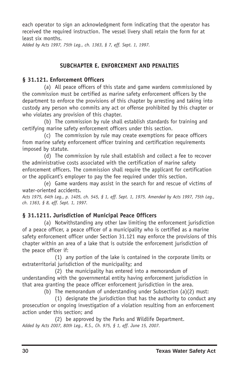each operator to sign an acknowledgment form indicating that the operator has received the required instruction. The vessel livery shall retain the form for at least six months.

*Added by Acts 1997, 75th Leg., ch. 1363, § 7, eff. Sept. 1, 1997.*

### **SUBCHAPTER E. ENFORCEMENT AND PENALTIES**

#### **§ 31.121. Enforcement Officers**

(a) All peace officers of this state and game wardens commissioned by the commission must be certified as marine safety enforcement officers by the department to enforce the provisions of this chapter by arresting and taking into custody any person who commits any act or offense prohibited by this chapter or who violates any provision of this chapter.

(b) The commission by rule shall establish standards for training and certifying marine safety enforcement officers under this section.

(c) The commission by rule may create exemptions for peace officers from marine safety enforcement officer training and certification requirements imposed by statute.

(d) The commission by rule shall establish and collect a fee to recover the administrative costs associated with the certification of marine safety enforcement officers. The commission shall require the applicant for certification or the applicant's employer to pay the fee required under this section.

(e) Game wardens may assist in the search for and rescue of victims of water-oriented accidents.

Acts 1975, 64th Leq., p. 1405, ch. 545, § 1, eff. Sept. 1, 1975. Amended by Acts 1997, 75th Leq., *ch. 1363, § 8, eff. Sept. 1, 1997.*

### **§ 31.1211. Jurisdiction of Municipal Peace Officers**

(a) Notwithstanding any other law limiting the enforcement jurisdiction of a peace officer, a peace officer of a municipality who is certified as a marine safety enforcement officer under Section 31.121 may enforce the provisions of this chapter within an area of a lake that is outside the enforcement jurisdiction of the peace officer if:

(1) any portion of the lake is contained in the corporate limits or extraterritorial jurisdiction of the municipality; and

(2) the municipality has entered into a memorandum of understanding with the governmental entity having enforcement jurisdiction in that area granting the peace officer enforcement jurisdiction in the area.

(b) The memorandum of understanding under Subsection (a)(2) must:

(1) designate the jurisdiction that has the authority to conduct any prosecution or ongoing investigation of a violation resulting from an enforcement action under this section; and

(2) be approved by the Parks and Wildlife Department. *Added by Acts 2007, 80th Leg., R.S., Ch. 975, § 1, eff. June 15, 2007.*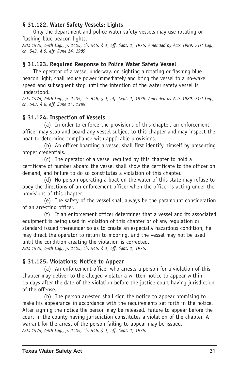### **§ 31.122. Water Safety Vessels: Lights**

Only the department and police water safety vessels may use rotating or flashing blue beacon lights.

Acts 1975, 64th Leg., p. 1405, ch. 545, § 1, eff. Sept. 1, 1975. Amended by Acts 1989, 71st Leg., *ch. 543, § 5, eff. June 14, 1989.*

#### **§ 31.123. Required Response to Police Water Safety Vessel**

The operator of a vessel underway, on sighting a rotating or flashing blue beacon light, shall reduce power immediately and bring the vessel to a no-wake speed and subsequent stop until the intention of the water safety vessel is understood.

Acts 1975, 64th Leg., p. 1405, ch. 545, § 1, eff. Sept. 1, 1975. Amended by Acts 1989, 71st Leg., *ch. 543, § 6, eff. June 14, 1989.*

### **§ 31.124. Inspection of Vessels**

(a) In order to enforce the provisions of this chapter, an enforcement officer may stop and board any vessel subject to this chapter and may inspect the boat to determine compliance with applicable provisions.

(b) An officer boarding a vessel shall first identify himself by presenting proper credentials.

(c) The operator of a vessel required by this chapter to hold a certificate of number aboard the vessel shall show the certificate to the officer on demand, and failure to do so constitutes a violation of this chapter.

(d) No person operating a boat on the water of this state may refuse to obey the directions of an enforcement officer when the officer is acting under the provisions of this chapter.

(e) The safety of the vessel shall always be the paramount consideration of an arresting officer.

(f) If an enforcement officer determines that a vessel and its associated equipment is being used in violation of this chapter or of any regulation or standard issued thereunder so as to create an especially hazardous condition, he may direct the operator to return to mooring, and the vessel may not be used until the condition creating the violation is corrected. *Acts 1975, 64th Leg., p. 1405, ch. 545, § 1, eff. Sept. 1, 1975.*

**§ 31.125. Violations; Notice to Appear**

(a) An enforcement officer who arrests a person for a violation of this chapter may deliver to the alleged violator a written notice to appear within 15 days after the date of the violation before the justice court having jurisdiction of the offense.

(b) The person arrested shall sign the notice to appear promising to make his appearance in accordance with the requirements set forth in the notice. After signing the notice the person may be released. Failure to appear before the court in the county having jurisdiction constitutes a violation of the chapter. A warrant for the arrest of the person failing to appear may be issued. *Acts 1975, 64th Leg., p. 1405, ch. 545, § 1, eff. Sept. 1, 1975.*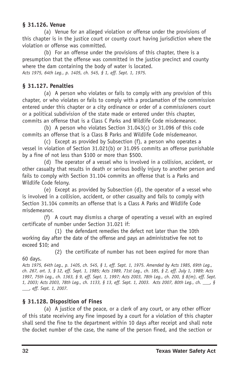### **§ 31.126. Venue**

(a) Venue for an alleged violation or offense under the provisions of this chapter is in the justice court or county court having jurisdiction where the violation or offense was committed.

(b) For an offense under the provisions of this chapter, there is a presumption that the offense was committed in the justice precinct and county where the dam containing the body of water is located. *Acts 1975, 64th Leg., p. 1405, ch. 545, § 1, eff. Sept. 1, 1975.*

## **§ 31.127. Penalties**

(a) A person who violates or fails to comply with any provision of this chapter, or who violates or fails to comply with a proclamation of the commission entered under this chapter or a city ordinance or order of a commissioners court or a political subdivision of the state made or entered under this chapter, commits an offense that is a Class C Parks and Wildlife Code misdemeanor.

(b) A person who violates Section 31.043(c) or 31.096 of this code commits an offense that is a Class B Parks and Wildlife Code misdemeanor.

(c) Except as provided by Subsection (f), a person who operates a vessel in violation of Section 31.021(b) or 31.095 commits an offense punishable by a fine of not less than \$100 or more than \$500.

(d) The operator of a vessel who is involved in a collision, accident, or other casualty that results in death or serious bodily injury to another person and fails to comply with Section 31.104 commits an offense that is a Parks and Wildlife Code felony.

(e) Except as provided by Subsection (d), the operator of a vessel who is involved in a collision, accident, or other casualty and fails to comply with Section 31.104 commits an offense that is a Class A Parks and Wildlife Code misdemeanor.

(f) A court may dismiss a charge of operating a vessel with an expired certificate of number under Section 31.021 if:

(1) the defendant remedies the defect not later than the 10th working day after the date of the offense and pays an administrative fee not to exceed \$10; and

(2) the certificate of number has not been expired for more than

Acts 1975, 64th Leg., p. 1405, ch. 545, § 1, eff. Sept. 1, 1975. Amended by Acts 1985, 69th Leg., ch. 267, art. 3, § 12, eff. Sept. 1, 1985; Acts 1989, 71st Leq., ch. 185, § 2, eff. July 1, 1989; Acts 1997, 75th Leg., ch. 1363, § 9, eff. Sept. 1, 1997; Acts 2003, 78th Leg., ch. 200, § 8(m), eff. Sept. 1, 2003; Acts 2003, 78th Leg., ch. 1133, § 13, eff. Sept. 1, 2003. Acts 2007, 80th Leg., ch. \_\_ § *\_\_\_, eff. Sept. 1, 2007.*

## **§ 31.128. Disposition of Fines**

(a) A justice of the peace, or a clerk of any court, or any other officer of this state receiving any fine imposed by a court for a violation of this chapter shall send the fine to the department within 10 days after receipt and shall note the docket number of the case, the name of the person fined, and the section or

60 days.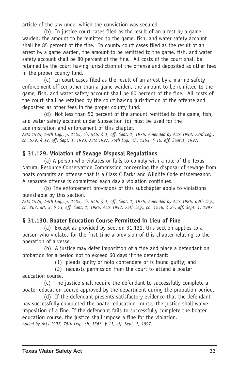article of the law under which the conviction was secured.

(b) In justice court cases filed as the result of an arrest by a game warden, the amount to be remitted to the game, fish, and water safety account shall be 85 percent of the fine. In county court cases filed as the result of an arrest by a game warden, the amount to be remitted to the game, fish, and water safety account shall be 80 percent of the fine. All costs of the court shall be retained by the court having jurisdiction of the offense and deposited as other fees in the proper county fund.

(c) In court cases filed as the result of an arrest by a marine safety enforcement officer other than a game warden, the amount to be remitted to the game, fish, and water safety account shall be 60 percent of the fine. All costs of the court shall be retained by the court having jurisdiction of the offense and deposited as other fees in the proper county fund.

(d) Not less than 50 percent of the amount remitted to the game, fish, and water safety account under Subsection (c) must be used for the administration and enforcement of this chapter.

Acts 1975, 64th Leg., p. 1405, ch. 545, § 1, eff. Sept. 1, 1975. Amended by Acts 1993, 73rd Leg., *ch. 679, § 39, eff. Sept. 1, 1993; Acts 1997, 75th Leg., ch. 1363, § 10, eff. Sept.1, 1997.*

# **§ 31.129. Violation of Sewage Disposal Regulations**

(a) A person who violates or fails to comply with a rule of the Texas Natural Resource Conservation Commission concerning the disposal of sewage from boats commits an offense that is a Class C Parks and Wildlife Code misdemeanor. A separate offense is committed each day a violation continues.

(b) The enforcement provisions of this subchapter apply to violations punishable by this section.

Acts 1975, 64th Leg., p. 1405, ch. 545, § 1, eff. Sept. 1, 1975. Amended by Acts 1985, 69th Leg., ch. 267, art. 3, § 13, eff. Sept. 1, 1985; Acts 1997, 75th Leg., ch. 1256, § 24, eff. Sept. 1, 1997.

# **§ 31.130. Boater Education Course Permitted in Lieu of Fine**

(a) Except as provided by Section 31.131, this section applies to a person who violates for the first time a provision of this chapter relating to the operation of a vessel.

(b) A justice may defer imposition of a fine and place a defendant on probation for a period not to exceed 60 days if the defendant:

(1) pleads guilty or nolo contendere or is found guilty; and

(2) requests permission from the court to attend a boater education course.

(c) The justice shall require the defendant to successfully complete a boater education course approved by the department during the probation period.

(d) If the defendant presents satisfactory evidence that the defendant has successfully completed the boater education course, the justice shall waive imposition of a fine. If the defendant fails to successfully complete the boater education course, the justice shall impose a fine for the violation. *Added by Acts 1997, 75th Leg., ch. 1363, § 11, eff. Sept. 1, 1997.*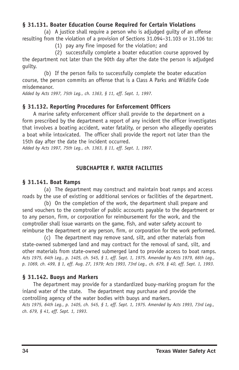### **§ 31.131. Boater Education Course Required for Certain Violations**

(a) A justice shall require a person who is adjudged guilty of an offense resulting from the violation of a provision of Sections 31.094–31.103 or 31.106 to:

(1) pay any fine imposed for the violation; and

(2) successfully complete a boater education course approved by the department not later than the 90th day after the date the person is adjudged guilty.

(b) If the person fails to successfully complete the boater education course, the person commits an offense that is a Class A Parks and Wildlife Code misdemeanor.

*Added by Acts 1997, 75th Leg., ch. 1363, § 11, eff. Sept. 1, 1997.*

### **§ 31.132. Reporting Procedures for Enforcement Officers**

A marine safety enforcement officer shall provide to the department on a form prescribed by the department a report of any incident the officer investigates that involves a boating accident, water fatality, or person who allegedly operates a boat while intoxicated. The officer shall provide the report not later than the 15th day after the date the incident occurred.

*Added by Acts 1997, 75th Leg., ch. 1363, § 11, eff. Sept. 1, 1997.*

### **SUBCHAPTER F. WATER FACILITIES**

### **§ 31.141. Boat Ramps**

(a) The department may construct and maintain boat ramps and access roads by the use of existing or additional services or facilities of the department.

(b) On the completion of the work, the department shall prepare and send vouchers to the comptroller of public accounts payable to the department or to any person, firm, or corporation for reimbursement for the work, and the comptroller shall issue warrants on the game, fish, and water safety account to reimburse the department or any person, firm, or corporation for the work performed.

(c) The department may remove sand, silt, and other materials from state-owned submerged land and may contract for the removal of sand, silt, and other materials from state-owned submerged land to provide access to boat ramps. Acts 1975, 64th Leg., p. 1405, ch. 545, § 1, eff. Sept. 1, 1975. Amended by Acts 1979, 66th Leg., p. 1069, ch. 499, § 1, eff. Aug. 27, 1979; Acts 1993, 73rd Leg., ch. 679, § 40, eff. Sept. 1, 1993.

### **§ 31.142. Buoys and Markers**

The department may provide for a standardized buoy-marking program for the inland water of the state. The department may purchase and provide the controlling agency of the water bodies with buoys and markers. Acts 1975, 64th Leg., p. 1405, ch. 545, § 1, eff. Sept. 1, 1975. Amended by Acts 1993, 73rd Leg., *ch. 679, § 41, eff. Sept. 1, 1993.*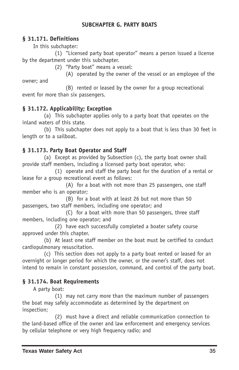### **SUBCHAPTER G. PARTY BOATS**

### **§ 31.171. Definitions**

In this subchapter:

(1) "Licensed party boat operator" means a person issued a license by the department under this subchapter.

(2) "Party boat" means a vessel:

(A) operated by the owner of the vessel or an employee of the owner; and

(B) rented or leased by the owner for a group recreational event for more than six passengers.

# **§ 31.172. Applicability; Exception**

(a) This subchapter applies only to a party boat that operates on the inland waters of this state.

(b) This subchapter does not apply to a boat that is less than 30 feet in length or to a sailboat.

# **§ 31.173. Party Boat Operator and Staff**

(a) Except as provided by Subsection (c), the party boat owner shall provide staff members, including a licensed party boat operator, who:

(1) operate and staff the party boat for the duration of a rental or lease for a group recreational event as follows:

(A) for a boat with not more than 25 passengers, one staff member who is an operator;

(B) for a boat with at least 26 but not more than 50 passengers, two staff members, including one operator; and

(C) for a boat with more than 50 passengers, three staff members, including one operator; and

(2) have each successfully completed a boater safety course approved under this chapter.

(b) At least one staff member on the boat must be certified to conduct cardiopulmonary resuscitation.

(c) This section does not apply to a party boat rented or leased for an overnight or longer period for which the owner, or the owner's staff, does not intend to remain in constant possession, command, and control of the party boat.

# **§ 31.174. Boat Requirements**

A party boat:

(1) may not carry more than the maximum number of passengers the boat may safely accommodate as determined by the department on inspection;

(2) must have a direct and reliable communication connection to the land-based office of the owner and law enforcement and emergency services by cellular telephone or very high frequency radio; and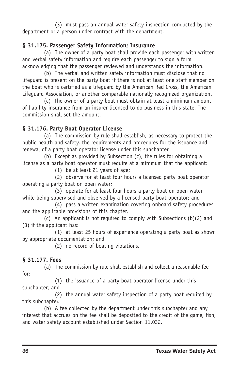(3) must pass an annual water safety inspection conducted by the department or a person under contract with the department.

# **§ 31.175. Passenger Safety Information; Insurance**

(a) The owner of a party boat shall provide each passenger with written and verbal safety information and require each passenger to sign a form acknowledging that the passenger reviewed and understands the information.

(b) The verbal and written safety information must disclose that no lifeguard is present on the party boat if there is not at least one staff member on the boat who is certified as a lifeguard by the American Red Cross, the American Lifeguard Association, or another comparable nationally recognized organization.

(c) The owner of a party boat must obtain at least a minimum amount of liability insurance from an insurer licensed to do business in this state. The commission shall set the amount.

# **§ 31.176. Party Boat Operator License**

(a) The commission by rule shall establish, as necessary to protect the public health and safety, the requirements and procedures for the issuance and renewal of a party boat operator license under this subchapter.

(b) Except as provided by Subsection (c), the rules for obtaining a license as a party boat operator must require at a minimum that the applicant:

(1) be at least 21 years of age;

(2) observe for at least four hours a licensed party boat operator operating a party boat on open water;

(3) operate for at least four hours a party boat on open water while being supervised and observed by a licensed party boat operator; and

(4) pass a written examination covering onboard safety procedures and the applicable provisions of this chapter.

(c) An applicant is not required to comply with Subsections (b)(2) and (3) if the applicant has:

(1) at least 25 hours of experience operating a party boat as shown by appropriate documentation; and

(2) no record of boating violations.

# **§ 31.177. Fees**

(a) The commission by rule shall establish and collect a reasonable fee for:

(1) the issuance of a party boat operator license under this subchapter; and

(2) the annual water safety inspection of a party boat required by this subchapter.

(b) A fee collected by the department under this subchapter and any interest that accrues on the fee shall be deposited to the credit of the game, fish, and water safety account established under Section 11.032.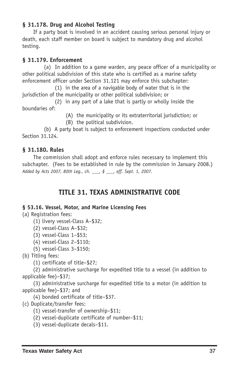### **§ 31.178. Drug and Alcohol Testing**

If a party boat is involved in an accident causing serious personal injury or death, each staff member on board is subject to mandatory drug and alcohol testing.

### **§ 31.179. Enforcement**

(a) In addition to a game warden, any peace officer of a municipality or other political subdivision of this state who is certified as a marine safety enforcement officer under Section 31.121 may enforce this subchapter:

(1) in the area of a navigable body of water that is in the jurisdiction of the municipality or other political subdivision; or

(2) in any part of a lake that is partly or wholly inside the boundaries of:

(A) the municipality or its extraterritorial jurisdiction; or

(B) the political subdivision.

(b) A party boat is subject to enforcement inspections conducted under Section 31.124.

### **§ 31.180. Rules**

The commission shall adopt and enforce rules necessary to implement this subchapter. (Fees to be established in rule by the commission in January 2008.) *Added by Acts 2007, 80th Leg., ch. \_\_\_, § \_\_\_, eff. Sept. 1, 2007.*

# **TITLE 31. TEXAS ADMINISTRATIVE CODE**

### **§ 53.16. Vessel, Motor, and Marine Licensing Fees**

(a) Registration fees:

- (1) livery vessel-Class A-\$32;
- $(2)$  vessel-Class A-\$32:
- $(3)$  vessel-Class  $1 $53$ ;
- $(4)$  vessel-Class 2-\$110;
- $(5)$  vessel-Class 3-\$150;

(b) Titling fees:

(1) certificate of title–\$27;

(2) administrative surcharge for expedited title to a vessel (in addition to applicable fee)–\$37;

(3) administrative surcharge for expedited title to a motor (in addition to applicable fee)–\$37; and

(4) bonded certificate of title–\$37.

(c) Duplicate/transfer fees:

- $(1)$  vessel-transfer of ownership–\$11;
- $(2)$  vessel-duplicate certificate of number–\$11:
- (3) vessel-duplicate decals-\$11.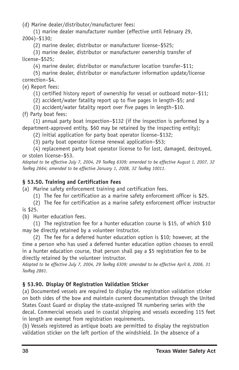(d) Marine dealer/distributor/manufacturer fees:

(1) marine dealer manufacturer number (effective until February 29, 2004)–\$130;

(2) marine dealer, distributor or manufacturer license–\$525;

(3) marine dealer, distributor or manufacturer ownership transfer of license–\$525;

(4) marine dealer, distributor or manufacturer location transfer–\$11;

(5) marine dealer, distributor or manufacturer information update/license correction–\$4.

(e) Report fees:

(1) certified history report of ownership for vessel or outboard motor–\$11;

(2) accident/water fatality report up to five pages in length–\$5; and

(3) accident/water fatality report over five pages in length–\$10.

(f) Party boat fees:

(1) annual party boat inspection–\$132 (if the inspection is performed by a department-approved entity, \$60 may be retained by the inspecting entity);

(2) initial application for party boat operator license–\$132;

(3) party boat operator license renewal application–\$53;

(4) replacement party boat operator license to for lost, damaged, destroyed, or stolen license–\$53.

*Adopted to be effective July 7, 2004, 29 TexReg 6309; amended to be effective August 1, 2007, 32 TexReg 2664; amended to be effective January 1, 2008, 32 TexReg 10011.*

# **§ 53.50. Training and Certification Fees**

(a) Marine safety enforcement training and certification fees.

(1) The fee for certification as a marine safety enforcement officer is \$25.

(2) The fee for certification as a marine safety enforcement officer instructor is \$25.

(b) Hunter education fees.

(1) The registration fee for a hunter education course is \$15, of which \$10 may be directly retained by a volunteer instructor.

(2) The fee for a deferred hunter education option is \$10; however, at the time a person who has used a deferred hunter education option chooses to enroll in a hunter education course, that person shall pay a \$5 registration fee to be directly retained by the volunteer instructor.

*Adopted to be effective July 7, 2004, 29 TexReg 6309; amended to be effective April 6, 2006, 31 TexReg 2861.*

# **§ 53.90. Display Of Registration Validation Sticker**

(a) Documented vessels are required to display the registration validation sticker on both sides of the bow and maintain current documentation through the United States Coast Guard or display the state-assigned TX numbering series with the decal. Commercial vessels used in coastal shipping and vessels exceeding 115 feet in length are exempt from registration requirements.

(b) Vessels registered as antique boats are permitted to display the registration validation sticker on the left portion of the windshield. In the absence of a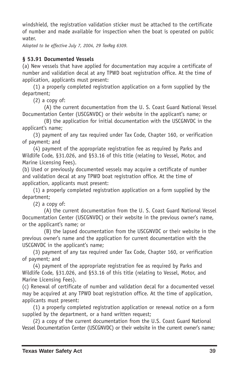windshield, the registration validation sticker must be attached to the certificate of number and made available for inspection when the boat is operated on public water.

*Adopted to be effective July 7, 2004, 29 TexReg 6309.*

### **§ 53.91 Documented Vessels**

(a) New vessels that have applied for documentation may acquire a certificate of number and validation decal at any TPWD boat registration office. At the time of application, applicants must present:

(1) a properly completed registration application on a form supplied by the department;

(2) a copy of:

(A) the current documentation from the U. S. Coast Guard National Vessel Documentation Center (USCGNVDC) or their website in the applicant's name; or

(B) the application for initial documentation with the USCGNVDC in the applicant's name;

(3) payment of any tax required under Tax Code, Chapter 160, or verification of payment; and

(4) payment of the appropriate registration fee as required by Parks and Wildlife Code, §31.026, and §53.16 of this title (relating to Vessel, Motor, and Marine Licensing Fees).

(b) Used or previously documented vessels may acquire a certificate of number and validation decal at any TPWD boat registration office. At the time of application, applicants must present:

(1) a properly completed registration application on a form supplied by the department;

(2) a copy of:

(A) the current documentation from the U. S. Coast Guard National Vessel Documentation Center (USCGNVDC) or their website in the previous owner's name, or the applicant's name; or

(B) the lapsed documentation from the USCGNVDC or their website in the previous owner's name and the application for current documentation with the USCGNVDC in the applicant's name;

(3) payment of any tax required under Tax Code, Chapter 160, or verification of payment; and

(4) payment of the appropriate registration fee as required by Parks and Wildlife Code, §31.026, and §53.16 of this title (relating to Vessel, Motor, and Marine Licensing Fees).

(c) Renewal of certificate of number and validation decal for a documented vessel may be acquired at any TPWD boat registration office. At the time of application, applicants must present:

(1) a properly completed registration application or renewal notice on a form supplied by the department, or a hand written request;

(2) a copy of the current documentation from the U.S. Coast Guard National Vessel Documentation Center (USCGNVDC) or their website in the current owner's name;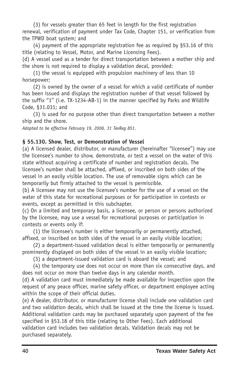(3) for vessels greater than 65 feet in length for the first registration renewal, verification of payment under Tax Code, Chapter 151, or verification from the TPWD boat system; and

(4) payment of the appropriate registration fee as required by §53.16 of this title (relating to Vessel, Motor, and Marine Licensing Fees).

(d) A vessel used as a tender for direct transportation between a mother ship and the shore is not required to display a validation decal, provided:

(1) the vessel is equipped with propulsion machinery of less than 10 horsepower;

(2) is owned by the owner of a vessel for which a valid certificate of number has been issued and displays the registration number of that vessel followed by the suffix "1" (i.e. TX-1234-AB-1) in the manner specified by Parks and Wildlife Code, §31.031; and

(3) is used for no purpose other than direct transportation between a mother ship and the shore.

*Adopted to be effective February 19, 2006, 31 TexReg 851.*

### **§ 55.130. Show, Test, or Demonstration of Vessel**

(a) A licensed dealer, distributor, or manufacturer (hereinafter "licensee") may use the licensee's number to show, demonstrate, or test a vessel on the water of this state without acquiring a certificate of number and registration decals. The licensee's number shall be attached, affixed, or inscribed on both sides of the vessel in an easily visible location. The use of removable signs which can be temporarily but firmly attached to the vessel is permissible.

(b) A licensee may not use the licensee's number for the use of a vessel on the water of this state for recreational purposes or for participation in contests or events, except as permitted in this subchapter.

(c) On a limited and temporary basis, a licensee, or person or persons authorized by the licensee, may use a vessel for recreational purposes or participation in contests or events only if:

(1) the licensee's number is either temporarily or permanently attached, affixed, or inscribed on both sides of the vessel in an easily visible location;

(2) a department-issued validation decal is either temporarily or permanently prominently displayed on both sides of the vessel in an easily visible location;

(3) a department-issued validation card is aboard the vessel; and

(4) the temporary use does not occur on more than six consecutive days, and does not occur on more than twelve days in any calendar month.

(d) A validation card must immediately be made available for inspection upon the request of any peace officer, marine safety officer, or department employee acting within the scope of their official duties.

(e) A dealer, distributor, or manufacturer license shall include one validation card and two validation decals, which shall be issued at the time the license is issued. Additional validation cards may be purchased separately upon payment of the fee specified in §53.18 of this title (relating to Other Fees). Each additional validation card includes two validation decals. Validation decals may not be purchased separately.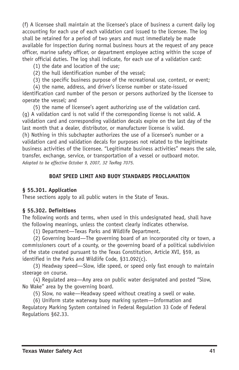(f) A licensee shall maintain at the licensee's place of business a current daily log accounting for each use of each validation card issued to the licensee. The log shall be retained for a period of two years and must immediately be made available for inspection during normal business hours at the request of any peace officer, marine safety officer, or department employee acting within the scope of their official duties. The log shall indicate, for each use of a validation card:

- (1) the date and location of the use;
- (2) the hull identification number of the vessel;
- (3) the specific business purpose of the recreational use, contest, or event;
- (4) the name, address, and driver's license number or state-issued

identification card number of the person or persons authorized by the licensee to operate the vessel; and

(5) the name of licensee's agent authorizing use of the validation card. (g) A validation card is not valid if the corresponding license is not valid. A validation card and corresponding validation decals expire on the last day of the last month that a dealer, distributor, or manufacturer license is valid. (h) Nothing in this subchapter authorizes the use of a licensee's number or a validation card and validation decals for purposes not related to the legitimate business activities of the licensee. "Legitimate business activities" means the sale, transfer, exchange, service, or transportation of a vessel or outboard motor. *Adopted to be effective October 9, 2007, 32 TexReg 7075.*

### **BOAT SPEED LIMIT AND BUOY STANDARDS PROCLAMATION**

#### **§ 55.301. Application**

These sections apply to all public waters in the State of Texas.

#### **§ 55.302. Definitions**

The following words and terms, when used in this undesignated head, shall have the following meanings, unless the context clearly indicates otherwise.

(1) Department—Texas Parks and Wildlife Department.

(2) Governing board—The governing board of an incorporated city or town, a commissioners court of a county, or the governing board of a political subdivision of the state created pursuant to the Texas Constitution, Article XVI, §59, as identified in the Parks and Wildlife Code, §31.092(c).

(3) Headway speed—Slow, idle speed, or speed only fast enough to maintain steerage on course.

(4) Regulated area—Any area on public water designated and posted "Slow, No Wake" area by the governing board.

(5) Slow, no wake—Headway speed without creating a swell or wake.

(6) Uniform state waterway buoy marking system—Information and Regulatory Marking System contained in Federal Regulation 33 Code of Federal Regulations §62.33.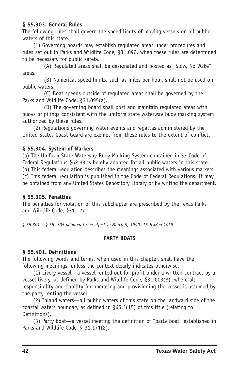### **§ 55.303. General Rules**

The following rules shall govern the speed limits of moving vessels on all public waters of this state.

(1) Governing boards may establish regulated areas under procedures and rules set out in Parks and Wildlife Code, §31.092, when these rules are determined to be necessary for public safety.

(A) Regulated areas shall be designated and posted as "Slow, No Wake" areas.

(B) Numerical speed limits, such as miles per hour, shall not be used on public waters.

(C) Boat speeds outside of regulated areas shall be governed by the Parks and Wildlife Code, §31.095(a).

(D) The governing board shall post and maintain regulated areas with buoys or pilings consistent with the uniform state waterway buoy marking system authorized by these rules.

(2) Regulations governing water events and regattas administered by the United States Coast Guard are exempt from these rules to the extent of conflict.

### **§ 55.304. System of Markers**

(a) The Uniform State Waterway Buoy Marking System contained in 33 Code of Federal Regulations §62.33 is hereby adopted for all public waters in this state. (b) This federal regulation describes the meanings associated with various markers. (c) This federal regulation is published in the Code of Federal Regulations. It may be obtained from any United States Depository Library or by writing the department.

### **§ 55.305. Penalties**

The penalties for violation of this subchapter are prescribed by the Texas Parks and Wildlife Code, §31.127.

*§ 55.301 – § 55. 305 adopted to be effective March 9, 1990, 15 TexReg 1069.*

### **PARTY BOATS**

### **§ 55.401. Definitions**

The following words and terms, when used in this chapter, shall have the following meanings, unless the context clearly indicates otherwise.

(1) Livery vessel—a vessel rented out for profit under a written contract by a vessel livery, as defined by Parks and Wildlife Code, §31.003(8), where all responsibility and liability for operating and provisioning the vessel is assumed by the party renting the vessel.

(2) Inland waters—all public waters of this state on the landward side of the coastal waters boundary as defined in §65.3(15) of this title (relating to Definitions).

(3) Party boat—a vessel meeting the definition of "party boat" established in Parks and Wildlife Code, § 31.171(2).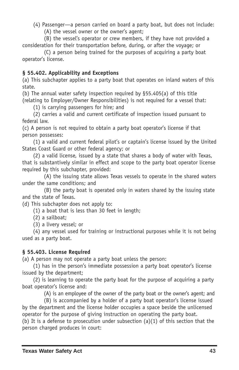(4) Passenger—a person carried on board a party boat, but does not include:

(A) the vessel owner or the owner's agent;

(B) the vessel's operator or crew members, if they have not provided a consideration for their transportation before, during, or after the voyage; or

(C) a person being trained for the purposes of acquiring a party boat operator's license.

# **§ 55.402. Applicability and Exceptions**

(a) This subchapter applies to a party boat that operates on inland waters of this state.

(b) The annual water safety inspection required by §55.405(a) of this title (relating to Employer/Owner Responsibilities) is not required for a vessel that:

(1) is carrying passengers for hire; and

(2) carries a valid and current certificate of inspection issued pursuant to federal law.

(c) A person is not required to obtain a party boat operator's license if that person possesses:

(1) a valid and current federal pilot's or captain's license issued by the United States Coast Guard or other federal agency; or

(2) a valid license, issued by a state that shares a body of water with Texas, that is substantively similar in effect and scope to the party boat operator license required by this subchapter, provided:

(A) the issuing state allows Texas vessels to operate in the shared waters under the same conditions; and

(B) the party boat is operated only in waters shared by the issuing state and the state of Texas.

(d) This subchapter does not apply to:

(1) a boat that is less than 30 feet in length;

(2) a sailboat;

(3) a livery vessel; or

(4) any vessel used for training or instructional purposes while it is not being used as a party boat.

### **§ 55.403. License Required**

(a) A person may not operate a party boat unless the person:

(1) has in the person's immediate possession a party boat operator's license issued by the department;

(2) is learning to operate the party boat for the purpose of acquiring a party boat operator's license and:

(A) is an employee of the owner of the party boat or the owner's agent; and

(B) is accompanied by a holder of a party boat operator's license issued by the department and the license holder occupies a space beside the unlicensed operator for the purpose of giving instruction on operating the party boat.

(b) It is a defense to prosecution under subsection (a)(1) of this section that the person charged produces in court: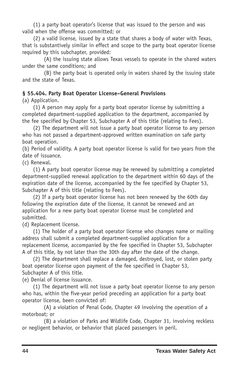(1) a party boat operator's license that was issued to the person and was valid when the offense was committed; or

(2) a valid license, issued by a state that shares a body of water with Texas, that is substantively similar in effect and scope to the party boat operator license required by this subchapter, provided:

(A) the issuing state allows Texas vessels to operate in the shared waters under the same conditions; and

(B) the party boat is operated only in waters shared by the issuing state and the state of Texas.

### **§ 55.404. Party Boat Operator License–General Provisions**

(a) Application.

(1) A person may apply for a party boat operator license by submitting a completed department-supplied application to the department, accompanied by the fee specified by Chapter 53, Subchapter A of this title (relating to Fees).

(2) The department will not issue a party boat operator license to any person who has not passed a department-approved written examination on safe party boat operation.

(b) Period of validity. A party boat operator license is valid for two years from the date of issuance.

(c) Renewal.

(1) A party boat operator license may be renewed by submitting a completed department-supplied renewal application to the department within 60 days of the expiration date of the license, accompanied by the fee specified by Chapter 53, Subchapter A of this title (relating to Fees).

(2) If a party boat operator license has not been renewed by the 60th day following the expiration date of the license, it cannot be renewed and an application for a new party boat operator license must be completed and submitted.

(d) Replacement license.

(1) The holder of a party boat operator license who changes name or mailing address shall submit a completed department-supplied application for a replacement license, accompanied by the fee specified in Chapter 53, Subchapter A of this title, by not later than the 30th day after the date of the change.

(2) The department shall replace a damaged, destroyed, lost, or stolen party boat operator license upon payment of the fee specified in Chapter 53, Subchapter A of this title.

(e) Denial of license issuance.

(1) The department will not issue a party boat operator license to any person who has, within the five-year period preceding an application for a party boat operator license, been convicted of:

(A) a violation of Penal Code, Chapter 49 involving the operation of a motorboat; or

(B) a violation of Parks and Wildlife Code, Chapter 31, involving reckless or negligent behavior, or behavior that placed passengers in peril.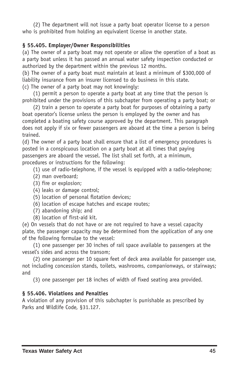(2) The department will not issue a party boat operator license to a person who is prohibited from holding an equivalent license in another state.

### **§ 55.405. Employer/Owner Responsibilities**

(a) The owner of a party boat may not operate or allow the operation of a boat as a party boat unless it has passed an annual water safety inspection conducted or authorized by the department within the previous 12 months.

(b) The owner of a party boat must maintain at least a minimum of \$300,000 of liability insurance from an insurer licensed to do business in this state. (c) The owner of a party boat may not knowingly:

(1) permit a person to operate a party boat at any time that the person is prohibited under the provisions of this subchapter from operating a party boat; or

(2) train a person to operate a party boat for purposes of obtaining a party boat operator's license unless the person is employed by the owner and has completed a boating safety course approved by the department. This paragraph does not apply if six or fewer passengers are aboard at the time a person is being trained.

(d) The owner of a party boat shall ensure that a list of emergency procedures is posted in a conspicuous location on a party boat at all times that paying passengers are aboard the vessel. The list shall set forth, at a minimum, procedures or instructions for the following:

- (1) use of radio-telephone, if the vessel is equipped with a radio-telephone;
- (2) man overboard;
- (3) fire or explosion;
- (4) leaks or damage control;
- (5) location of personal flotation devices;
- (6) location of escape hatches and escape routes;
- (7) abandoning ship; and
- (8) location of first-aid kit.

(e) On vessels that do not have or are not required to have a vessel capacity plate, the passenger capacity may be determined from the application of any one of the following formulae to the vessel:

(1) one passenger per 30 inches of rail space available to passengers at the vessel's sides and across the transom;

(2) one passenger per 10 square feet of deck area available for passenger use, not including concession stands, toilets, washrooms, companionways, or stairways; and

(3) one passenger per 18 inches of width of fixed seating area provided.

# **§ 55.406. Violations and Penalties**

A violation of any provision of this subchapter is punishable as prescribed by Parks and Wildlife Code, §31.127.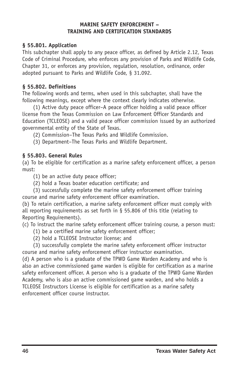#### **MARINE SAFETY ENFORCEMENT – TRAINING AND CERTIFICATION STANDARDS**

### **§ 55.801. Application**

This subchapter shall apply to any peace officer, as defined by Article 2.12, Texas Code of Criminal Procedure, who enforces any provision of Parks and Wildlife Code, Chapter 31, or enforces any provision, regulation, resolution, ordinance, order adopted pursuant to Parks and Wildlife Code, § 31.092.

### **§ 55.802. Definitions**

The following words and terms, when used in this subchapter, shall have the following meanings, except where the context clearly indicates otherwise.

(1) Active duty peace officer–A peace officer holding a valid peace officer license from the Texas Commission on Law Enforcement Officer Standards and Education (TCLEOSE) and a valid peace officer commission issued by an authorized governmental entity of the State of Texas.

(2) Commission–The Texas Parks and Wildlife Commission.

(3) Department–The Texas Parks and Wildlife Department.

### **§ 55.803. General Rules**

(a) To be eligible for certification as a marine safety enforcement officer, a person must:

(1) be an active duty peace officer;

(2) hold a Texas boater education certificate; and

(3) successfully complete the marine safety enforcement officer training course and marine safety enforcement officer examination.

(b) To retain certification, a marine safety enforcement officer must comply with all reporting requirements as set forth in § 55.806 of this title (relating to Reporting Requirements).

(c) To instruct the marine safety enforcement officer training course, a person must:

- (1) be a certified marine safety enforcement officer;
- (2) hold a TCLEOSE Instructor license; and

(3) successfully complete the marine safety enforcement officer instructor course and marine safety enforcement officer instructor examination.

(d) A person who is a graduate of the TPWD Game Warden Academy and who is also an active commissioned game warden is eligible for certification as a marine safety enforcement officer. A person who is a graduate of the TPWD Game Warden Academy, who is also an active commissioned game warden, and who holds a TCLEOSE Instructors License is eligible for certification as a marine safety enforcement officer course instructor.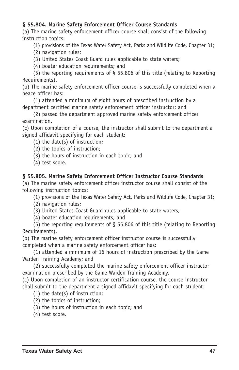### **§ 55.804. Marine Safety Enforcement Officer Course Standards**

(a) The marine safety enforcement officer course shall consist of the following instruction topics:

(1) provisions of the Texas Water Safety Act, Parks and Wildlife Code, Chapter 31;

- (2) navigation rules;
- (3) United States Coast Guard rules applicable to state waters;
- (4) boater education requirements; and

(5) the reporting requirements of § 55.806 of this title (relating to Reporting Requirements).

(b) The marine safety enforcement officer course is successfully completed when a peace officer has:

(1) attended a minimum of eight hours of prescribed instruction by a department certified marine safety enforcement officer instructor; and

(2) passed the department approved marine safety enforcement officer examination.

(c) Upon completion of a course, the instructor shall submit to the department a signed affidavit specifying for each student:

(1) the date(s) of instruction;

- (2) the topics of instruction;
- (3) the hours of instruction in each topic; and
- (4) test score.

### **§ 55.805. Marine Safety Enforcement Officer Instructor Course Standards**

(a) The marine safety enforcement officer instructor course shall consist of the following instruction topics:

(1) provisions of the Texas Water Safety Act, Parks and Wildlife Code, Chapter 31;

- (2) navigation rules;
- (3) United States Coast Guard rules applicable to state waters;
- (4) boater education requirements; and

(5) the reporting requirements of § 55.806 of this title (relating to Reporting Requirements).

(b) The marine safety enforcement officer instructor course is successfully completed when a marine safety enforcement officer has:

(1) attended a minimum of 16 hours of instruction prescribed by the Game Warden Training Academy; and

(2) successfully completed the marine safety enforcement officer instructor examination prescribed by the Game Warden Training Academy.

(c) Upon completion of an instructor certification course, the course instructor shall submit to the department a signed affidavit specifying for each student:

- (1) the date(s) of instruction;
- (2) the topics of instruction;
- (3) the hours of instruction in each topic; and
- (4) test score.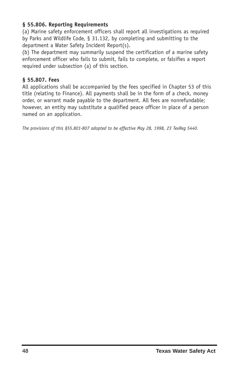### **§ 55.806. Reporting Requirements**

(a) Marine safety enforcement officers shall report all investigations as required by Parks and Wildlife Code, § 31.132, by completing and submitting to the department a Water Safety Incident Report(s).

(b) The department may summarily suspend the certification of a marine safety enforcement officer who fails to submit, fails to complete, or falsifies a report required under subsection (a) of this section.

### **§ 55.807. Fees**

All applications shall be accompanied by the fees specified in Chapter 53 of this title (relating to Finance). All payments shall be in the form of a check, money order, or warrant made payable to the department. All fees are nonrefundable; however, an entity may substitute a qualified peace officer in place of a person named on an application.

*The provisions of this §55.801807 adopted to be effective May 28, 1998, 23 TexReg 5440.*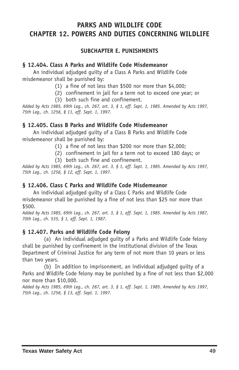# **PARKS AND WILDLIFE CODE CHAPTER 12. POWERS AND DUTIES CONCERNING WILDLIFE**

### **SUBCHAPTER E. PUNISHMENTS**

#### **§ 12.404. Class A Parks and Wildlife Code Misdemeanor**

An individual adjudged guilty of a Class A Parks and Wildlife Code misdemeanor shall be punished by:

- (1) a fine of not less than \$500 nor more than \$4,000;
- (2) confinement in jail for a term not to exceed one year; or
- (3) both such fine and confinement.

Added by Acts 1985, 69th Leg., ch. 267, art. 3, § 1, eff. Sept. 1, 1985. Amended by Acts 1997, *75th Leg., ch. 1256, § 11, eff. Sept. 1, 1997.*

### **§ 12.405. Class B Parks and Wildlife Code Misdemeanor**

An individual adjudged guilty of a Class B Parks and Wildlife Code misdemeanor shall be punished by:

- (1) a fine of not less than \$200 nor more than \$2,000;
- (2) confinement in jail for a term not to exceed 180 days; or
	- (3) both such fine and confinement.

Added by Acts 1985, 69th Leg., ch. 267, art. 3, § 1, eff. Sept. 1, 1985. Amended by Acts 1997, *75th Leg., ch. 1256, § 12, eff. Sept. 1, 1997.*

### **§ 12.406. Class C Parks and Wildlife Code Misdemeanor**

An individual adjudged guilty of a Class C Parks and Wildlife Code misdemeanor shall be punished by a fine of not less than \$25 nor more than \$500.

Added by Acts 1985, 69th Leg., ch. 267, art. 3, § 1, eff. Sept. 1, 1985. Amended by Acts 1987, *70th Leg., ch. 535, § 1, eff. Sept. 1, 1987.*

### **§ 12.407. Parks and Wildlife Code Felony**

(a) An individual adjudged guilty of a Parks and Wildlife Code felony shall be punished by confinement in the institutional division of the Texas Department of Criminal Justice for any term of not more than 10 years or less than two years.

(b) In addition to imprisonment, an individual adjudged guilty of a Parks and Wildlife Code felony may be punished by a fine of not less than \$2,000 nor more than \$10,000.

Added by Acts 1985, 69th Leg., ch. 267, art. 3, § 1, eff. Sept. 1, 1985. Amended by Acts 1997, *75th Leg., ch. 1256, § 13, eff. Sept. 1, 1997.*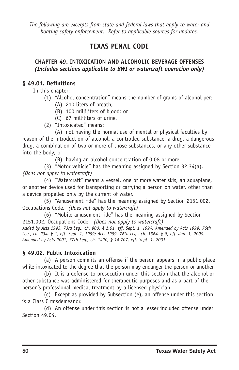*The following are excerpts from state and federal laws that apply to water and boating safety enforcement. Refer to applicable sources for updates.*

# **TEXAS PENAL CODE**

### **CHAPTER 49. INTOXICATION AND ALCOHOLIC BEVERAGE OFFENSES** *(Includes sections applicable to BWI or watercraft operation only)*

# **§ 49.01. Definitions**

In this chapter:

- (1) "Alcohol concentration" means the number of grams of alcohol per:
	- (A) 210 liters of breath;
	- (B) 100 milliliters of blood; or
	- (C) 67 milliliters of urine.
- (2) "Intoxicated" means:

(A) not having the normal use of mental or physical faculties by reason of the introduction of alcohol, a controlled substance, a drug, a dangerous drug, a combination of two or more of those substances, or any other substance into the body; or

(B) having an alcohol concentration of 0.08 or more.

(3) "Motor vehicle" has the meaning assigned by Section 32.34(a). *(Does not apply to watercraft)*

(4) "Watercraft" means a vessel, one or more water skis, an aquaplane, or another device used for transporting or carrying a person on water, other than a device propelled only by the current of water.

(5) "Amusement ride" has the meaning assigned by Section 2151.002, Occupations Code. *(Does not apply to watercraft)*

(6) "Mobile amusement ride" has the meaning assigned by Section 2151.002, Occupations Code. *(Does not apply to watercraft)* Added by Acts 1993, 73rd Leg., ch. 900, § 1.01, eff. Sept. 1, 1994. Amended by Acts 1999, 76th Leg., ch. 234, § 1, eff. Sept. 1, 1999; Acts 1999, 76th Leg., ch. 1364, § 8, eff. Jan. 1, 2000.

*Amended by Acts 2001, 77th Leg., ch. 1420, § 14.707, eff. Sept. 1, 2001.*

# **§ 49.02. Public Intoxication**

(a) A person commits an offense if the person appears in a public place while intoxicated to the degree that the person may endanger the person or another.

(b) It is a defense to prosecution under this section that the alcohol or other substance was administered for therapeutic purposes and as a part of the person's professional medical treatment by a licensed physician.

(c) Except as provided by Subsection (e), an offense under this section is a Class C misdemeanor.

(d) An offense under this section is not a lesser included offense under Section 49.04.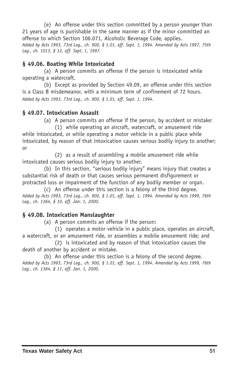(e) An offense under this section committed by a person younger than 21 years of age is punishable in the same manner as if the minor committed an offense to which Section 106.071, Alcoholic Beverage Code, applies. Added by Acts 1993, 73rd Leg., ch. 900, § 1.01, eff. Sept. 1, 1994. Amended by Acts 1997, 75th *Leg., ch. 1013, § 12, eff. Sept. 1, 1997.*

### **§ 49.06. Boating While Intoxicated**

(a) A person commits an offense if the person is intoxicated while operating a watercraft.

(b) Except as provided by Section 49.09, an offense under this section is a Class B misdemeanor, with a minimum term of confinement of 72 hours. *Added by Acts 1993, 73rd Leg., ch. 900, § 1.01, eff. Sept. 1, 1994.*

# **§ 49.07. Intoxication Assault**

(a) A person commits an offense if the person, by accident or mistake:

(1) while operating an aircraft, watercraft, or amusement ride while intoxicated, or while operating a motor vehicle in a public place while intoxicated, by reason of that intoxication causes serious bodily injury to another; or

(2) as a result of assembling a mobile amusement ride while intoxicated causes serious bodily injury to another.

(b) In this section, "serious bodily injury" means injury that creates a substantial risk of death or that causes serious permanent disfigurement or protracted loss or impairment of the function of any bodily member or organ.

(c) An offense under this section is a felony of the third degree. Added by Acts 1993, 73rd Leg., ch. 900, § 1.01, eff. Sept. 1, 1994. Amended by Acts 1999, 76th *Leg., ch. 1364, § 10, eff. Jan. 1, 2000.*

### **§ 49.08. Intoxication Manslaughter**

(a) A person commits an offense if the person:

(1) operates a motor vehicle in a public place, operates an aircraft, a watercraft, or an amusement ride, or assembles a mobile amusement ride; and

(2) is intoxicated and by reason of that intoxication causes the death of another by accident or mistake.

(b) An offense under this section is a felony of the second degree. Added by Acts 1993, 73rd Leg., ch. 900, § 1.01, eff. Sept. 1, 1994. Amended by Acts 1999, 76th *Leg., ch. 1364, § 11, eff. Jan. 1, 2000.*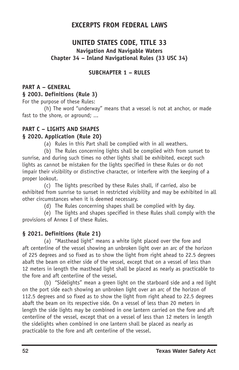# **EXCERPTS FROM FEDERAL LAWS**

# **UNITED STATES CODE, TITLE 33**

# **Navigation And Navigable Waters Chapter 34 – Inland Navigational Rules (33 USC 34)**

### **SUBCHAPTER 1 – RULES**

# **PART A – GENERAL**

**§ 2003. Definitions (Rule 3)** For the purpose of these Rules:

(h) The word "underway" means that a vessel is not at anchor, or made fast to the shore, or aground; ...

# **PART C – LIGHTS AND SHAPES**

### **§ 2020. Application (Rule 20)**

(a) Rules in this Part shall be complied with in all weathers.

(b) The Rules concerning lights shall be complied with from sunset to sunrise, and during such times no other lights shall be exhibited, except such lights as cannot be mistaken for the lights specified in these Rules or do not impair their visibility or distinctive character, or interfere with the keeping of a proper lookout.

(c) The lights prescribed by these Rules shall, if carried, also be exhibited from sunrise to sunset in restricted visibility and may be exhibited in all other circumstances when it is deemed necessary.

(d) The Rules concerning shapes shall be complied with by day.

(e) The lights and shapes specified in these Rules shall comply with the provisions of Annex I of these Rules.

### **§ 2021. Definitions (Rule 21)**

(a) "Masthead light" means a white light placed over the fore and aft centerline of the vessel showing an unbroken light over an arc of the horizon of 225 degrees and so fixed as to show the light from right ahead to 22.5 degrees abaft the beam on either side of the vessel, except that on a vessel of less than 12 meters in length the masthead light shall be placed as nearly as practicable to the fore and aft centerline of the vessel.

(b) "Sidelights" mean a green light on the starboard side and a red light on the port side each showing an unbroken light over an arc of the horizon of 112.5 degrees and so fixed as to show the light from right ahead to 22.5 degrees abaft the beam on its respective side. On a vessel of less than 20 meters in length the side lights may be combined in one lantern carried on the fore and aft centerline of the vessel, except that on a vessel of less than 12 meters in length the sidelights when combined in one lantern shall be placed as nearly as practicable to the fore and aft centerline of the vessel.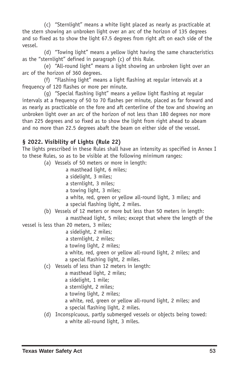(c) "Sternlight" means a white light placed as nearly as practicable at the stern showing an unbroken light over an arc of the horizon of 135 degrees and so fixed as to show the light 67.5 degrees from right aft on each side of the vessel.

(d) "Towing light" means a yellow light having the same characteristics as the "sternlight" defined in paragraph (c) of this Rule.

(e) "All-round light" means a light showing an unbroken light over an arc of the horizon of 360 degrees.

(f) "Flashing light" means a light flashing at regular intervals at a frequency of 120 flashes or more per minute.

(g) "Special flashing light" means a yellow light flashing at regular intervals at a frequency of 50 to 70 flashes per minute, placed as far forward and as nearly as practicable on the fore and aft centerline of the tow and showing an unbroken light over an arc of the horizon of not less than 180 degrees nor more than 225 degrees and so fixed as to show the light from right ahead to abeam and no more than 22.5 degrees abaft the beam on either side of the vessel.

# **§ 2022. Visibility of Lights (Rule 22)**

The lights prescribed in these Rules shall have an intensity as specified in Annex I to these Rules, so as to be visible at the following minimum ranges:

- (a) Vessels of 50 meters or more in length:
	- a masthead light, 6 miles;
	- a sidelight, 3 miles;
	- a sternlight, 3 miles;
	- a towing light, 3 miles;
	- a white, red, green or yellow all-round light, 3 miles; and a special flashing light, 2 miles.
- (b) Vessels of 12 meters or more but less than 50 meters in length:

a masthead light, 5 miles; except that where the length of the

vessel is less than 20 meters, 3 miles;

- a sidelight, 2 miles;
- a sternlight, 2 miles;
- a towing light, 2 miles;
- a white, red, green or yellow all-round light, 2 miles; and
- a special flashing light, 2 miles.
- (c) Vessels of less than 12 meters in length:
	- a masthead light, 2 miles;
	- a sidelight, 1 mile;
	- a sternlight, 2 miles;
	- a towing light, 2 miles;
	- a white, red, green or yellow all-round light, 2 miles; and
	- a special flashing light, 2 miles.
- (d) Inconspicuous, partly submerged vessels or objects being towed: a white all-round light, 3 miles.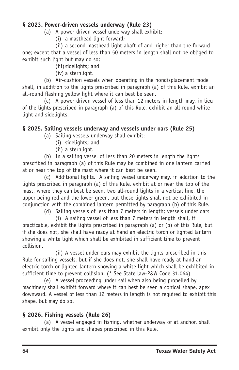# **§ 2023. Powerdriven vessels underway (Rule 23)**

### (a) A power-driven vessel underway shall exhibit:

(i) a masthead light forward;

(ii) a second masthead light abaft of and higher than the forward one; except that a vessel of less than 50 meters in length shall not be obliged to exhibit such light but may do so;

(iii) sidelights; and

(iv) a sternlight.

(b) Air-cushion vessels when operating in the nondisplacement mode shall, in addition to the lights prescribed in paragraph (a) of this Rule, exhibit an all-round flashing yellow light where it can best be seen.

 $(c)$  A power-driven vessel of less than 12 meters in length may, in lieu of the lights prescribed in paragraph (a) of this Rule, exhibit an all-round white light and sidelights.

# **§ 2025. Sailing vessels underway and vessels under oars (Rule 25)**

- (a) Sailing vessels underway shall exhibit:
	- (i) sidelights; and
	- (ii) a sternlight.

(b) In a sailing vessel of less than 20 meters in length the lights prescribed in paragraph (a) of this Rule may be combined in one lantern carried at or near the top of the mast where it can best be seen.

(c) Additional lights. A sailing vessel underway may, in addition to the lights prescribed in paragraph (a) of this Rule, exhibit at or near the top of the mast, where they can best be seen, two all-round lights in a vertical line, the upper being red and the lower green, but these lights shall not be exhibited in conjunction with the combined lantern permitted by paragraph (b) of this Rule.

(d) Sailing vessels of less than 7 meters in length; vessels under oars

(i) A sailing vessel of less than 7 meters in length shall, if practicable, exhibit the lights prescribed in paragraph (a) or (b) of this Rule, but if she does not, she shall have ready at hand an electric torch or lighted lantern showing a white light which shall be exhibited in sufficient time to prevent collision.

(ii) A vessel under oars may exhibit the lights prescribed in this Rule for sailing vessels, but if she does not, she shall have ready at hand an electric torch or lighted lantern showing a white light which shall be exhibited in sufficient time to prevent collision. (\* See State law-P&W Code 31.064)

(e) A vessel proceeding under sail when also being propelled by machinery shall exhibit forward where it can best be seen a conical shape, apex downward. A vessel of less than 12 meters in length is not required to exhibit this shape, but may do so.

# **§ 2026. Fishing vessels (Rule 26)**

(a) A vessel engaged in fishing, whether underway or at anchor, shall exhibit only the lights and shapes prescribed in this Rule.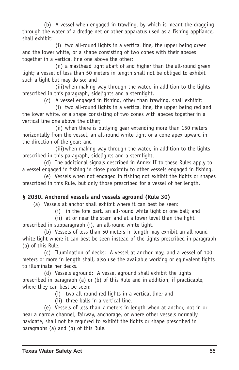(b) A vessel when engaged in trawling, by which is meant the dragging through the water of a dredge net or other apparatus used as a fishing appliance, shall exhibit:

(i) two all-round lights in a vertical line, the upper being green and the lower white, or a shape consisting of two cones with their apexes together in a vertical line one above the other;

(ii) a masthead light abaft of and higher than the all-round green light; a vessel of less than 50 meters in length shall not be obliged to exhibit such a light but may do so; and

(iii)when making way through the water, in addition to the lights prescribed in this paragraph, sidelights and a sternlight.

(c) A vessel engaged in fishing, other than trawling, shall exhibit:

(i) two all-round lights in a vertical line, the upper being red and the lower white, or a shape consisting of two cones with apexes together in a vertical line one above the other;

(ii) when there is outlying gear extending more than 150 meters horizontally from the vessel, an all-round white light or a cone apex upward in the direction of the gear; and

(iii) when making way through the water, in addition to the lights prescribed in this paragraph, sidelights and a sternlight.

(d) The additional signals described in Annex II to these Rules apply to a vessel engaged in fishing in close proximity to other vessels engaged in fishing.

(e) Vessels when not engaged in fishing not exhibit the lights or shapes prescribed in this Rule, but only those prescribed for a vessel of her length.

# **§ 2030. Anchored vessels and vessels aground (Rule 30)**

(a) Vessels at anchor shall exhibit where it can best be seen:

(i) in the fore part, an all-round white light or one ball; and

(ii) at or near the stern and at a lower level than the light prescribed in subparagraph (i), an all-round white light.

(b) Vessels of less than 50 meters in length may exhibit an all-round white light where it can best be seen instead of the lights prescribed in paragraph (a) of this Rule.

(c) Illumination of decks: A vessel at anchor may, and a vessel of 100 meters or more in length shall, also use the available working or equivalent lights to illuminate her decks.

(d) Vessels aground: A vessel aground shall exhibit the lights prescribed in paragraph (a) or (b) of this Rule and in addition, if practicable, where they can best be seen:

- (i) two all-round red lights in a vertical line; and
- (ii) three balls in a vertical line.

(e) Vessels of less than 7 meters in length when at anchor, not in or near a narrow channel, fairway, anchorage, or where other vessels normally navigate, shall not be required to exhibit the lights or shape prescribed in paragraphs (a) and (b) of this Rule.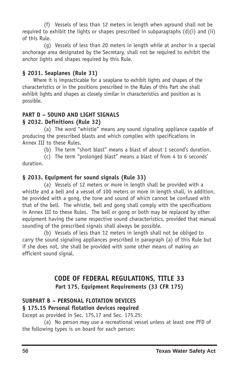(f) Vessels of less than 12 meters in length when aground shall not be required to exhibit the lights or shapes prescribed in subparagraphs (d)(i) and (ii) of this Rule.

(g) Vessels of less than 20 meters in length while at anchor in a special anchorage area designated by the Secretary, shall not be required to exhibit the anchor lights and shapes required by this Rule.

# **§ 2031. Seaplanes (Rule 31)**

Where it is impracticable for a seaplane to exhibit lights and shapes of the characteristics or in the positions prescribed in the Rules of this Part she shall exhibit lights and shapes as closely similar in characteristics and position as is possible.

# **PART D – SOUND AND LIGHT SIGNALS**

# **§ 2032. Definitions (Rule 32)**

(a) The word "whistle" means any sound signaling appliance capable of producing the prescribed blasts and which complies with specifications in Annex III to these Rules.

(b) The term "short blast" means a blast of about 1 second's duration.

(c) The term "prolonged blast" means a blast of from 4 to 6 seconds' duration.

# **§ 2033. Equipment for sound signals (Rule 33)**

(a) Vessels of 12 meters or more in length shall be provided with a whistle and a bell and a vessel of 100 meters or more in length shall, in addition, be provided with a gong, the tone and sound of which cannot be confused with that of the bell. The whistle, bell and gong shall comply with the specifications in Annex III to these Rules. The bell or gong or both may be replaced by other equipment having the same respective sound characteristics, provided that manual sounding of the prescribed signals shall always be possible.

(b) Vessels of less than 12 meters in length shall not be obliged to carry the sound signaling appliances prescribed in paragraph (a) of this Rule but if she does not, she shall be provided with some other means of making an efficient sound signal.

# **CODE OF FEDERAL REGULATIONS, TITLE 33 Part 175, Equipment Requirements (33 CFR 175)**

# **SUBPART B – PERSONAL FLOTATION DEVICES § 175.15 Personal flotation devices required**

Except as provided in Sec. 175.17 and Sec. 175.25:

(a) No person may use a recreational vessel unless at least one PFD of the following types is on board for each person: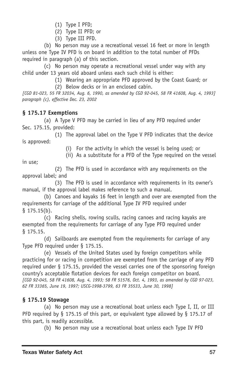- (1) Type I PFD;
- (2) Type II PFD; or
- (3) Type III PFD.

(b) No person may use a recreational vessel 16 feet or more in length unless one Type IV PFD is on board in addition to the total number of PFDs required in paragraph (a) of this section.

(c) No person may operate a recreational vessel under way with any child under 13 years old aboard unless each such child is either:

- (1) Wearing an appropriate PFD approved by the Coast Guard; or
- (2) Below decks or in an enclosed cabin.

*[CGD 81023, 55 FR 32034, Aug. 6, 1990, as amended by CGD 92045, 58 FR 41608, Aug. 4, 1993] paragraph (c), effective Dec. 23, 2002*

# **§ 175.17 Exemptions**

(a) A Type V PFD may be carried in lieu of any PFD required under Sec. 175.15, provided:

(1) The approval label on the Type V PFD indicates that the device is approved:

(i) For the activity in which the vessel is being used; or

(ii) As a substitute for a PFD of the Type required on the vessel

in use;

(2) The PFD is used in accordance with any requirements on the approval label; and

(3) The PFD is used in accordance with requirements in its owner's manual, if the approval label makes reference to such a manual.

(b) Canoes and kayaks 16 feet in length and over are exempted from the requirements for carriage of the additional Type IV PFD required under  $§$  175.15(b).

(c) Racing shells, rowing sculls, racing canoes and racing kayaks are exempted from the requirements for carriage of any Type PFD required under § 175.15.

(d) Sailboards are exempted from the requirements for carriage of any Type PFD required under § 175.15.

(e) Vessels of the United States used by foreign competitors while practicing for or racing in competition are exempted from the carriage of any PFD required under § 175.15, provided the vessel carries one of the sponsoring foreign country's acceptable flotation devices for each foreign competitor on board. *[CGD 92045, 58 FR 41608, Aug. 4, 1993; 58 FR 51576, Oct. 4, 1993, as amended by CGD 97023, 62 FR 33365, June 19, 1997; USCG19983799, 63 FR 35533, June 30, 1998]*

# **§ 175.19 Stowage**

(a) No person may use a recreational boat unless each Type I, II, or III PFD required by § 175.15 of this part, or equivalent type allowed by § 175.17 of this part, is readily accessible.

(b) No person may use a recreational boat unless each Type IV PFD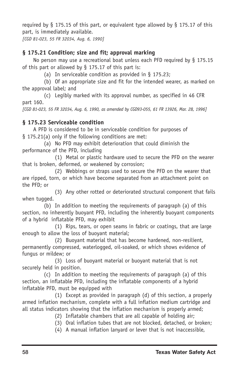required by § 175.15 of this part, or equivalent type allowed by § 175.17 of this part, is immediately available.

*[CGD 81023, 55 FR 32034, Aug. 6, 1990]*

# **§ 175.21 Condition; size and fit; approval marking**

No person may use a recreational boat unless each PFD required by § 175.15 of this part or allowed by  $\S$  175.17 of this part is:

(a) In serviceable condition as provided in § 175.23;

(b) Of an appropriate size and fit for the intended wearer, as marked on the approval label; and

(c) Legibly marked with its approval number, as specified in 46 CFR part 160.

*[CGD 81023, 55 FR 32034, Aug. 6, 1990, as amended by CGD93055, 61 FR 13926, Mar. 28, 1996]*

# **§ 175.23 Serviceable condition**

A PFD is considered to be in serviceable condition for purposes of § 175.21(a) only if the following conditions are met:

(a) No PFD may exhibit deterioration that could diminish the performance of the PFD, including

(1) Metal or plastic hardware used to secure the PFD on the wearer that is broken, deformed, or weakened by corrosion;

(2) Webbings or straps used to secure the PFD on the wearer that are ripped, torn, or which have become separated from an attachment point on the PFD; or

(3) Any other rotted or deteriorated structural component that fails when tugged.

(b) In addition to meeting the requirements of paragraph (a) of this section, no inherently buoyant PFD, including the inherently buoyant components of a hybrid inflatable PFD, may exhibit

(1) Rips, tears, or open seams in fabric or coatings, that are large enough to allow the loss of buoyant material;

(2) Buoyant material that has become hardened, non-resilient, permanently compressed, waterlogged, oil-soaked, or which shows evidence of fungus or mildew; or

(3) Loss of buoyant material or buoyant material that is not securely held in position.

(c) In addition to meeting the requirements of paragraph (a) of this section, an inflatable PFD, including the inflatable components of a hybrid inflatable PFD, must be equipped with

(1) Except as provided in paragraph (d) of this section, a properly armed inflation mechanism, complete with a full inflation medium cartridge and all status indicators showing that the inflation mechanism is properly armed;

- (2) Inflatable chambers that are all capable of holding air;
- (3) Oral inflation tubes that are not blocked, detached, or broken;
- (4) A manual inflation lanyard or lever that is not inaccessible,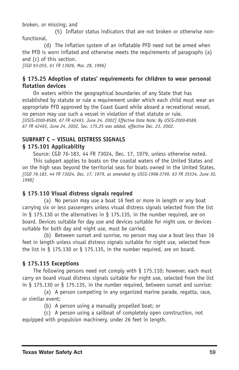broken, or missing; and

(5) Inflator status indicators that are not broken or otherwise nonfunctional.

(d) The inflation system of an inflatable PFD need not be armed when the PFD is worn inflated and otherwise meets the requirements of paragraphs (a) and (c) of this section. *[CGD 93055, 61 FR 13926, Mar. 28, 1996]*

### **§ 175.25 Adoption of states' requirements for children to wear personal flotation devices**

On waters within the geographical boundaries of any State that has established by statute or rule a requirement under which each child must wear an appropriate PFD approved by the Coast Guard while aboard a recreational vessel, no person may use such a vessel in violation of that statute or rule. *[USCG20008589, 67 FR 42493, June 24, 2002] Effective Date Note: By USCG20008589, 67 FR 42493, June 24, 2002, Sec. 175.25 was added, effective Dec. 23, 2002.*

# **SUBPART C – VISUAL DISTRESS SIGNALS**

### **§ 175.101 Applicability**

Source: CGD 76-183, 44 FR 73024, Dec. 17, 1979, unless otherwise noted. This subpart applies to boats on the coastal waters of the United States and on the high seas beyond the territorial seas for boats owned in the United States. *[CGD 76183, 44 FR 73024, Dec. 17, 1979, as amended by USCG19983799, 63 FR 35534, June 30, 1998]*

### **§ 175**.**110 Visual distress signals required**

(a) No person may use a boat 16 feet or more in length or any boat carrying six or less passengers unless visual distress signals selected from the list in § 175.130 or the alternatives in § 175.135, in the number required, are on board. Devices suitable for day use and devices suitable for night use, or devices suitable for both day and night use, must be carried.

(b) Between sunset and sunrise, no person may use a boat less than 16 feet in length unless visual distress signals suitable for night use, selected from the list in § 175.130 or § 175.135, in the number required, are on board.

### **§ 175.115 Exceptions**

The following persons need not comply with  $\S$  175.110; however, each must carry on board visual distress signals suitable for night use, selected from the list in § 175.130 or § 175.135, in the number required, between sunset and sunrise:

(a) A person competing in any organized marine parade, regatta, race, or similar event;

(b) A person using a manually propelled boat; or

(c) A person using a sailboat of completely open construction, not equipped with propulsion machinery, under 26 feet in length.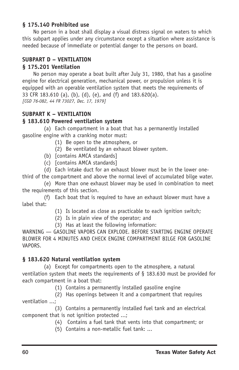### **§ 175.140 Prohibited use**

No person in a boat shall display a visual distress signal on waters to which this subpart applies under any circumstance except a situation where assistance is needed because of immediate or potential danger to the persons on board.

# **SUBPART D – VENTILATION**

### **§ 175.201 Ventilation**

No person may operate a boat built after July 31, 1980, that has a gasoline engine for electrical generation, mechanical power, or propulsion unless it is equipped with an operable ventilation system that meets the requirements of 33 CFR 183.610 (a), (b), (d), (e), and (f) and 183.620(a). *[CGD 76082, 44 FR 73027, Dec. 17, 1979]*

# **SUBPART K – VENTILATION**

### **§ 183.610 Powered ventilation system**

(a) Each compartment in a boat that has a permanently installed gasoline engine with a cranking motor must:

- (1) Be open to the atmosphere, or
- (2) Be ventilated by an exhaust blower system.
- (b) [contains AMCA standards]
- (c) [contains AMCA standards]

(d) Each intake duct for an exhaust blower must be in the lower onethird of the compartment and above the normal level of accumulated bilge water.

(e) More than one exhaust blower may be used in combination to meet the requirements of this section.

(f) Each boat that is required to have an exhaust blower must have a label that:

- (1) Is located as close as practicable to each ignition switch;
- (2) Is in plain view of the operator; and
- (3) Has at least the following information:

WARNING — GASOLINE VAPORS CAN EXPLODE. BEFORE STARTING ENGINE OPERATE BLOWER FOR 4 MINUTES AND CHECK ENGINE COMPARTMENT BILGE FOR GASOLINE VAPORS.

### **§ 183.620 Natural ventilation system**

(a) Except for compartments open to the atmosphere, a natural ventilation system that meets the requirements of § 183.630 must be provided for each compartment in a boat that:

(1) Contains a permanently installed gasoline engine

(2) Has openings between it and a compartment that requires ventilation ...;

(3) Contains a permanently installed fuel tank and an electrical component that is not ignition protected ...;

- (4) Contains a fuel tank that vents into that compartment; or
- $(5)$  Contains a non-metallic fuel tank: ...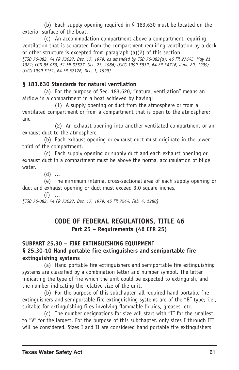(b) Each supply opening required in  $\S$  183.630 must be located on the exterior surface of the boat.

(c) An accommodation compartment above a compartment requiring ventilation that is separated from the compartment requiring ventilation by a deck or other structure is excepted from paragraph (a)(2) of this section. *[CGD 76082, 44 FR 73027, Dec. 17, 1979, as amended by CGD 76082(a), 46 FR 27645, May 21, 1981; CGD 85059, 51 FR 37577, Oct. 23, 1986; USCG19995832, 64 FR 34716, June 29, 1999; USCG19995151, 64 FR 67176, Dec. 1, 1999]*

### **§ 183.630 Standards for natural ventilation**

(a) For the purpose of Sec. 183.620, "natural ventilation'' means an airflow in a compartment in a boat achieved by having:

(1) A supply opening or duct from the atmosphere or from a ventilated compartment or from a compartment that is open to the atmosphere; and

(2) An exhaust opening into another ventilated compartment or an exhaust duct to the atmosphere.

(b) Each exhaust opening or exhaust duct must originate in the lower third of the compartment.

(c) Each supply opening or supply duct and each exhaust opening or exhaust duct in a compartment must be above the normal accumulation of bilge water.

(d) ...

(e) The minimum internal cross-sectional area of each supply opening or duct and exhaust opening or duct must exceed 3.0 square inches.

 $(f)$  ... *[CGD 76082, 44 FR 73027, Dec. 17, 1979; 45 FR 7544, Feb. 4, 1980]*

# **CODE OF FEDERAL REGULATIONS, TITLE 46 Part 25 – Requirements (46 CFR 25)**

# **SUBPART 25.30 – FIRE EXTINGUISHING EQUIPMENT § 25.3010 Hand portable fire extinguishers and semiportable fire extinguishing systems**

(a) Hand portable fire extinguishers and semiportable fire extinguishing systems are classified by a combination letter and number symbol. The letter indicating the type of fire which the unit could be expected to extinguish, and the number indicating the relative size of the unit.

(b) For the purpose of this subchapter, all required hand portable fire extinguishers and semiportable fire extinguishing systems are of the "B" type; i.e., suitable for extinguishing fires involving flammable liquids, greases, etc.

(c) The number designations for size will start with "I'' for the smallest to "V'' for the largest. For the purpose of this subchapter, only sizes I through III will be considered. Sizes I and II are considered hand portable fire extinguishers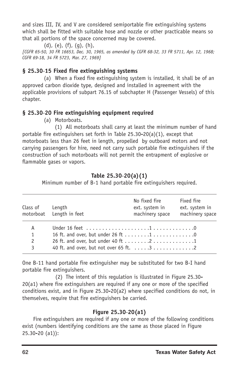and sizes III, IV, and V are considered semiportable fire extinguishing systems which shall be fitted with suitable hose and nozzle or other practicable means so that all portions of the space concerned may be covered.

 $(d)$ ,  $(e)$ ,  $(f)$ ,  $(q)$ ,  $(h)$ ,

*[CGFR 6550, 30 FR 16653, Dec. 30, 1965, as amended by CGFR 6832, 33 FR 5711, Apr. 12, 1968; CGFR 6918, 34 FR 5723, Mar. 27, 1969]*

# **§ 25.3015 Fixed fire extinguishing systems**

(a) When a fixed fire extinguishing system is installed, it shall be of an approved carbon dioxide type, designed and installed in agreement with the applicable provisions of subpart 76.15 of subchapter H (Passenger Vessels) of this chapter.

# **§ 25.3020 Fire extinguishing equipment required**

(a) Motorboats.

(1) All motorboats shall carry at least the minimum number of hand portable fire extinguishers set forth in Table  $25.30-20(a)(1)$ , except that motorboats less than 26 feet in length, propelled by outboard motors and not carrying passengers for hire, need not carry such portable fire extinguishers if the construction of such motorboats will not permit the entrapment of explosive or flammable gases or vapors.

# **Table 25.3020(a)(1)**

Minimum number of B-1 hand portable fire extinguishers required.

| Class of | Length<br>motorboat Length in feet | No fixed fire<br>ext. system in<br>machinery space | Fixed fire<br>ext. system in<br>machinery space |
|----------|------------------------------------|----------------------------------------------------|-------------------------------------------------|
| A        |                                    |                                                    |                                                 |
| 1        |                                    |                                                    |                                                 |
| 2        |                                    |                                                    |                                                 |
| 3        |                                    |                                                    |                                                 |

One B-11 hand portable fire extinguisher may be substituted for two B-I hand portable fire extinguishers.

(2) The intent of this regulation is illustrated in Figure 25.30 20(a1) where fire extinguishers are required if any one or more of the specified conditions exist, and in Figure 25.30-20(a2) where specified conditions do not, in themselves, require that fire extinguishers be carried.

# **Figure 25.3020(a1)**

Fire extinguishers are required if any one or more of the following conditions exist (numbers identifying conditions are the same as those placed in Figure 25.30-20 (a1)):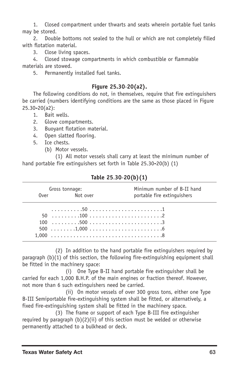1. Closed compartment under thwarts and seats wherein portable fuel tanks may be stored.

2. Double bottoms not sealed to the hull or which are not completely filled with flotation material.

3. Close living spaces.

4. Closed stowage compartments in which combustible or flammable materials are stowed.

5. Permanently installed fuel tanks.

### **Figure 25.3020(a2).**

The following conditions do not, in themselves, require that fire extinguishers be carried (numbers identifying conditions are the same as those placed in Figure  $25.30 - 20(a2)$ :

- 1. Bait wells.
- 2. Glove compartments.
- 3. Buoyant flotation material.
- 4. Open slatted flooring.
- 5. Ice chests.
	- (b) Motor vessels.

(1) All motor vessels shall carry at least the minimum number of hand portable fire extinguishers set forth in Table  $25.30-20(b)$  (1)

|       | Gross tonnage:    | Minimum number of B-II hand |  |
|-------|-------------------|-----------------------------|--|
|       | Not over<br>0 ver | portable fire extinguishers |  |
|       |                   |                             |  |
|       |                   |                             |  |
|       |                   |                             |  |
|       |                   |                             |  |
| 1.000 |                   |                             |  |

#### **Table 25**.**3020(b)(1)**

(2) In addition to the hand portable fire extinguishers required by paragraph  $(b)(1)$  of this section, the following fire-extinguishing equipment shall be fitted in the machinery space:

(i) One Type B-II hand portable fire extinguisher shall be carried for each 1,000 B.H.P. of the main engines or fraction thereof. However, not more than 6 such extinguishers need be carried.

(ii) On motor vessels of over 300 gross tons, either one Type B-III Semiportable fire-extinguishing system shall be fitted, or alternatively, a fixed fire-extinguishing system shall be fitted in the machinery space.

 $(3)$  The frame or support of each Type B-III fire extinguisher required by paragraph (b)(2)(ii) of this section must be welded or otherwise permanently attached to a bulkhead or deck.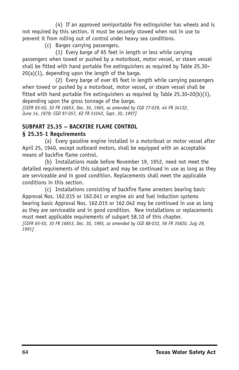(4) If an approved semiportable fire extinguisher has wheels and is not required by this section, it must be securely stowed when not in use to prevent it from rolling out of control under heavy sea conditions.

(c) Barges carrying passengers.

(1) Every barge of 65 feet in length or less while carrying passengers when towed or pushed by a motorboat, motor vessel, or steam vessel shall be fitted with hand portable fire extinguishers as required by Table 25.30  $20(a)(1)$ , depending upon the length of the barge.

(2) Every barge of over 65 feet in length while carrying passengers when towed or pushed by a motorboat, motor vessel, or steam vessel shall be fitted with hand portable fire extinguishers as required by Table  $25.30-20(b)(1)$ , depending upon the gross tonnage of the barge.

*[CGFR 6550, 30 FR 16653, Dec. 30, 1965, as amended by CGD 77039, 44 FR 34132, June 14, 1979; CGD 97057, 62 FR 51042, Sept. 30, 1997]*

# **SUBPART 25.35 – BACKFIRE FLAME CONTROL**

### **§ 25.351 Requirements**

(a) Every gasoline engine installed in a motorboat or motor vessel after April 25, 1940, except outboard motors, shall be equipped with an acceptable means of backfire flame control.

(b) Installations made before November 19, 1952, need not meet the detailed requirements of this subpart and may be continued in use as long as they are serviceable and in good condition. Replacements shall meet the applicable conditions in this section.

(c) Installations consisting of backfire flame arresters bearing basic Approval Nos. 162.015 or 162.041 or engine air and fuel induction systems bearing basic Approval Nos. 162.015 or 162.042 may be continued in use as long as they are serviceable and in good condition. New installations or replacements must meet applicable requirements of subpart 58.10 of this chapter. *[CGFR 6550, 30 FR 16653, Dec. 30, 1965, as amended by CGD 88032, 56 FR 35820, July 29, 1991]*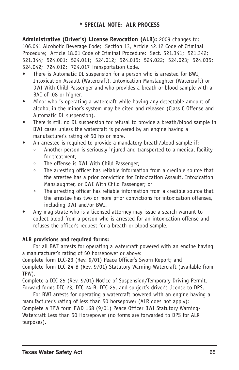**Administrative (Driver's) License Revocation (ALR):** 2009 changes to: 106.041 Alcoholic Beverage Code; Section 13, Article 42.12 Code of Criminal Procedure; Article 18.01 Code of Criminal Procedure: Sect. 521.341; 521.342; 521.344; 524.001; 524.011; 524.012; 524.015; 524.022; 524.023; 524.035; 524.042; 724.012; 724.017 Transportation Code.

- There is Automatic DL suspension for a person who is arrested for BWI, Intoxication Assault (Watercraft), Intoxication Manslaughter (Watercraft) or DWI With Child Passenger and who provides a breath or blood sample with a BAC of .08 or higher.
- Minor who is operating a watercraft while having any detectable amount of alcohol in the minor's system may be cited and released (Class C Offense and Automatic DL suspension).
- There is still no DL suspension for refusal to provide a breath/blood sample in BWI cases unless the watercraft is powered by an engine having a manufacturer's rating of 50 hp or more.
- An arrestee is required to provide a mandatory breath/blood sample if:
	- ° Another person is seriously injured and transported to a medical facility for treatment;
	- ° The offense is DWI With Child Passenger;
	- ° The arresting officer has reliable information from a credible source that the arrestee has a prior conviction for Intoxication Assault, Intoxication Manslaughter, or DWI With Child Passenger; or
	- ° The arresting officer has reliable information from a credible source that the arrestee has two or more prior convictions for intoxication offenses, including DWI and/or BWI.
- Any magistrate who is a licensed attorney may issue a search warrant to collect blood from a person who is arrested for an intoxication offense and refuses the officer's request for a breath or blood sample.

### **ALR provisions and required forms:**

For all BWI arrests for operating a watercraft powered with an engine having a manufacturer's rating of 50 horsepower or above:

Complete form DIC-23 (Rev. 9/01) Peace Officer's Sworn Report; and Complete form DIC-24-B (Rev. 9/01) Statutory Warning-Watercraft (available from TPW).

Complete a DIC25 (Rev. 9/01) Notice of Suspension/Temporary Driving Permit. Forward forms DIC-23, DIC 24-B, DIC-25, and subject's driver's license to DPS.

For BWI arrests for operating a watercraft powered with an engine having a manufacturer's rating of less than 50 horsepower (ALR does not apply): Complete a TPW form PWD 168 (9/01) Peace Officer BWI Statutory Warning-Watercraft Less than 50 Horsepower (no forms are forwarded to DPS for ALR purposes).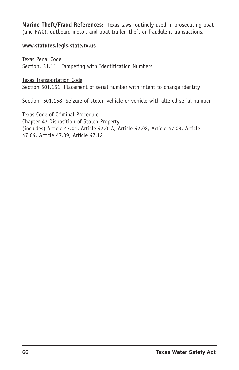**Marine Theft/Fraud References:** Texas laws routinely used in prosecuting boat (and PWC), outboard motor, and boat trailer, theft or fraudulent transactions.

#### **www.statutes.legis.state.tx.us**

Texas Penal Code Section. 31.11. Tampering with Identification Numbers

Texas Transportation Code Section 501.151 Placement of serial number with intent to change identity

Section 501.158 Seizure of stolen vehicle or vehicle with altered serial number

Texas Code of Criminal Procedure Chapter 47 Disposition of Stolen Property (includes) Article 47.01, Article 47.01A, Article 47.02, Article 47.03, Article 47.04, Article 47.09, Article 47.12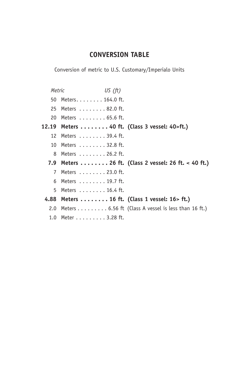# **CONVERSION TABLE**

Conversion of metric to U.S. Customary/Imperialo Units

|       | Metric           | US $(ft)$                                                     |                                                                         |
|-------|------------------|---------------------------------------------------------------|-------------------------------------------------------------------------|
|       | 50               | Meters. $\dots$ . $\dots$ 164.0 ft.                           |                                                                         |
|       | 25               | Meters 82.0 ft.                                               |                                                                         |
|       | 20               | Meters $\ldots \ldots \ldots$ 65.6 ft.                        |                                                                         |
| 12.19 |                  | Meters $\ldots \ldots \ldots$ 40 ft. (Class 3 vessel: 40>ft.) |                                                                         |
|       | 12.              | Meters $\ldots \ldots \ldots$ 39.4 ft.                        |                                                                         |
|       | 10               | Meters 32.8 ft.                                               |                                                                         |
|       | 8                | Meters 26.2 ft.                                               |                                                                         |
|       | 7.9              |                                                               | Meters  26 ft. (Class 2 vessel: 26 ft. < 40 ft.)                        |
|       | 7                | Meters 23.0 ft.                                               |                                                                         |
|       | 6                | Meters $\ldots \ldots \ldots$ 19.7 ft.                        |                                                                         |
|       | 5.               | Meters 16.4 ft.                                               |                                                                         |
|       |                  | 4.88 Meters 16 ft. (Class 1 vessel: 16 > ft.)                 |                                                                         |
|       | 2.0              |                                                               | Meters $\dots \dots \dots$ 6.56 ft (Class A vessel is less than 16 ft.) |
|       | 1.0 <sub>1</sub> | Meter 3.28 ft.                                                |                                                                         |